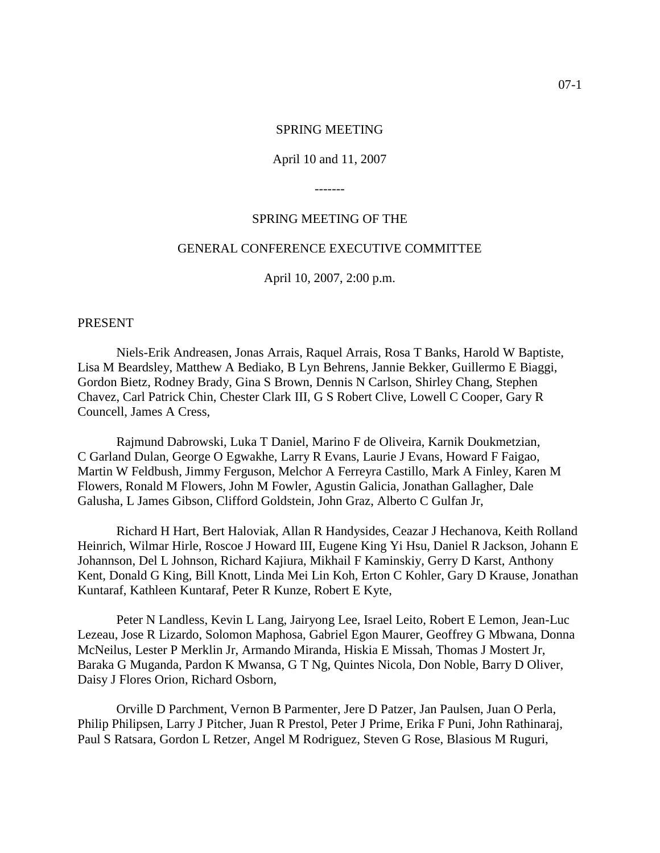#### SPRING MEETING

#### April 10 and 11, 2007

-------

#### SPRING MEETING OF THE

# GENERAL CONFERENCE EXECUTIVE COMMITTEE

April 10, 2007, 2:00 p.m.

#### PRESENT

Niels-Erik Andreasen, Jonas Arrais, Raquel Arrais, Rosa T Banks, Harold W Baptiste, Lisa M Beardsley, Matthew A Bediako, B Lyn Behrens, Jannie Bekker, Guillermo E Biaggi, Gordon Bietz, Rodney Brady, Gina S Brown, Dennis N Carlson, Shirley Chang, Stephen Chavez, Carl Patrick Chin, Chester Clark III, G S Robert Clive, Lowell C Cooper, Gary R Councell, James A Cress,

Rajmund Dabrowski, Luka T Daniel, Marino F de Oliveira, Karnik Doukmetzian, C Garland Dulan, George O Egwakhe, Larry R Evans, Laurie J Evans, Howard F Faigao, Martin W Feldbush, Jimmy Ferguson, Melchor A Ferreyra Castillo, Mark A Finley, Karen M Flowers, Ronald M Flowers, John M Fowler, Agustin Galicia, Jonathan Gallagher, Dale Galusha, L James Gibson, Clifford Goldstein, John Graz, Alberto C Gulfan Jr,

Richard H Hart, Bert Haloviak, Allan R Handysides, Ceazar J Hechanova, Keith Rolland Heinrich, Wilmar Hirle, Roscoe J Howard III, Eugene King Yi Hsu, Daniel R Jackson, Johann E Johannson, Del L Johnson, Richard Kajiura, Mikhail F Kaminskiy, Gerry D Karst, Anthony Kent, Donald G King, Bill Knott, Linda Mei Lin Koh, Erton C Kohler, Gary D Krause, Jonathan Kuntaraf, Kathleen Kuntaraf, Peter R Kunze, Robert E Kyte,

Peter N Landless, Kevin L Lang, Jairyong Lee, Israel Leito, Robert E Lemon, Jean-Luc Lezeau, Jose R Lizardo, Solomon Maphosa, Gabriel Egon Maurer, Geoffrey G Mbwana, Donna McNeilus, Lester P Merklin Jr, Armando Miranda, Hiskia E Missah, Thomas J Mostert Jr, Baraka G Muganda, Pardon K Mwansa, G T Ng, Quintes Nicola, Don Noble, Barry D Oliver, Daisy J Flores Orion, Richard Osborn,

Orville D Parchment, Vernon B Parmenter, Jere D Patzer, Jan Paulsen, Juan O Perla, Philip Philipsen, Larry J Pitcher, Juan R Prestol, Peter J Prime, Erika F Puni, John Rathinaraj, Paul S Ratsara, Gordon L Retzer, Angel M Rodriguez, Steven G Rose, Blasious M Ruguri,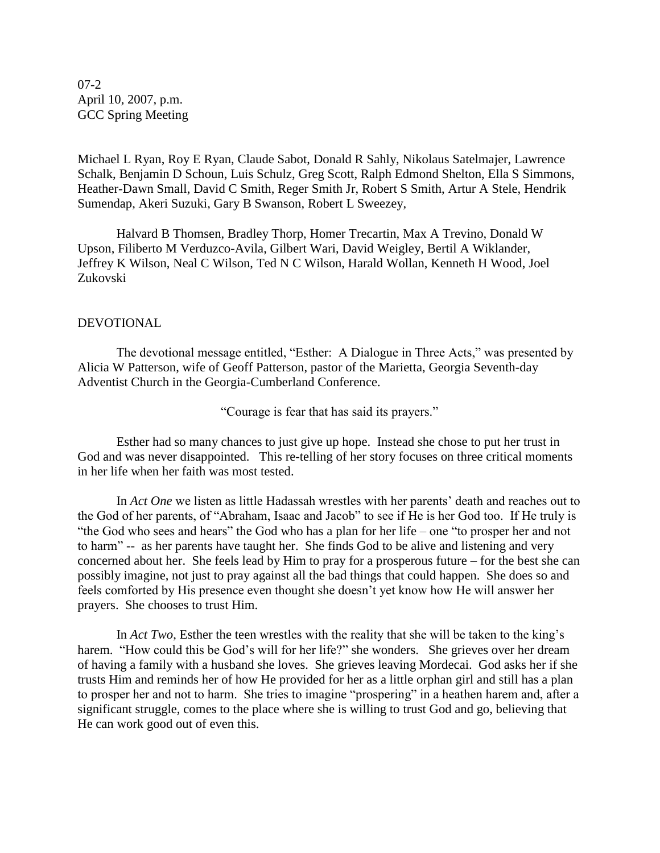07-2 April 10, 2007, p.m. GCC Spring Meeting

Michael L Ryan, Roy E Ryan, Claude Sabot, Donald R Sahly, Nikolaus Satelmajer, Lawrence Schalk, Benjamin D Schoun, Luis Schulz, Greg Scott, Ralph Edmond Shelton, Ella S Simmons, Heather-Dawn Small, David C Smith, Reger Smith Jr, Robert S Smith, Artur A Stele, Hendrik Sumendap, Akeri Suzuki, Gary B Swanson, Robert L Sweezey,

Halvard B Thomsen, Bradley Thorp, Homer Trecartin, Max A Trevino, Donald W Upson, Filiberto M Verduzco-Avila, Gilbert Wari, David Weigley, Bertil A Wiklander, Jeffrey K Wilson, Neal C Wilson, Ted N C Wilson, Harald Wollan, Kenneth H Wood, Joel Zukovski

#### DEVOTIONAL

The devotional message entitled, "Esther: A Dialogue in Three Acts," was presented by Alicia W Patterson, wife of Geoff Patterson, pastor of the Marietta, Georgia Seventh-day Adventist Church in the Georgia-Cumberland Conference.

"Courage is fear that has said its prayers."

Esther had so many chances to just give up hope. Instead she chose to put her trust in God and was never disappointed. This re-telling of her story focuses on three critical moments in her life when her faith was most tested.

In *Act One* we listen as little Hadassah wrestles with her parents' death and reaches out to the God of her parents, of "Abraham, Isaac and Jacob" to see if He is her God too. If He truly is "the God who sees and hears" the God who has a plan for her life – one "to prosper her and not to harm" -- as her parents have taught her. She finds God to be alive and listening and very concerned about her. She feels lead by Him to pray for a prosperous future – for the best she can possibly imagine, not just to pray against all the bad things that could happen. She does so and feels comforted by His presence even thought she doesn't yet know how He will answer her prayers. She chooses to trust Him.

In *Act Two*, Esther the teen wrestles with the reality that she will be taken to the king's harem. "How could this be God's will for her life?" she wonders. She grieves over her dream of having a family with a husband she loves. She grieves leaving Mordecai. God asks her if she trusts Him and reminds her of how He provided for her as a little orphan girl and still has a plan to prosper her and not to harm. She tries to imagine "prospering" in a heathen harem and, after a significant struggle, comes to the place where she is willing to trust God and go, believing that He can work good out of even this.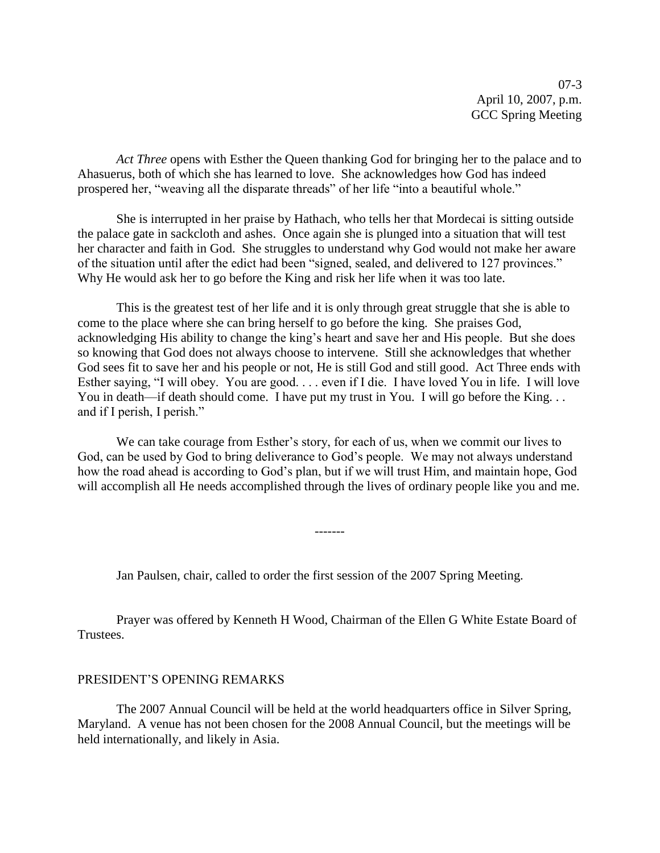07-3 April 10, 2007, p.m. GCC Spring Meeting

*Act Three* opens with Esther the Queen thanking God for bringing her to the palace and to Ahasuerus, both of which she has learned to love. She acknowledges how God has indeed prospered her, "weaving all the disparate threads" of her life "into a beautiful whole."

She is interrupted in her praise by Hathach, who tells her that Mordecai is sitting outside the palace gate in sackcloth and ashes. Once again she is plunged into a situation that will test her character and faith in God. She struggles to understand why God would not make her aware of the situation until after the edict had been "signed, sealed, and delivered to 127 provinces." Why He would ask her to go before the King and risk her life when it was too late.

This is the greatest test of her life and it is only through great struggle that she is able to come to the place where she can bring herself to go before the king. She praises God, acknowledging His ability to change the king's heart and save her and His people. But she does so knowing that God does not always choose to intervene. Still she acknowledges that whether God sees fit to save her and his people or not, He is still God and still good. Act Three ends with Esther saying, "I will obey. You are good. . . . even if I die. I have loved You in life. I will love You in death—if death should come. I have put my trust in You. I will go before the King... and if I perish, I perish."

We can take courage from Esther's story, for each of us, when we commit our lives to God, can be used by God to bring deliverance to God's people. We may not always understand how the road ahead is according to God's plan, but if we will trust Him, and maintain hope, God will accomplish all He needs accomplished through the lives of ordinary people like you and me.

-------

Jan Paulsen, chair, called to order the first session of the 2007 Spring Meeting.

Prayer was offered by Kenneth H Wood, Chairman of the Ellen G White Estate Board of Trustees.

#### PRESIDENT'S OPENING REMARKS

The 2007 Annual Council will be held at the world headquarters office in Silver Spring, Maryland. A venue has not been chosen for the 2008 Annual Council, but the meetings will be held internationally, and likely in Asia.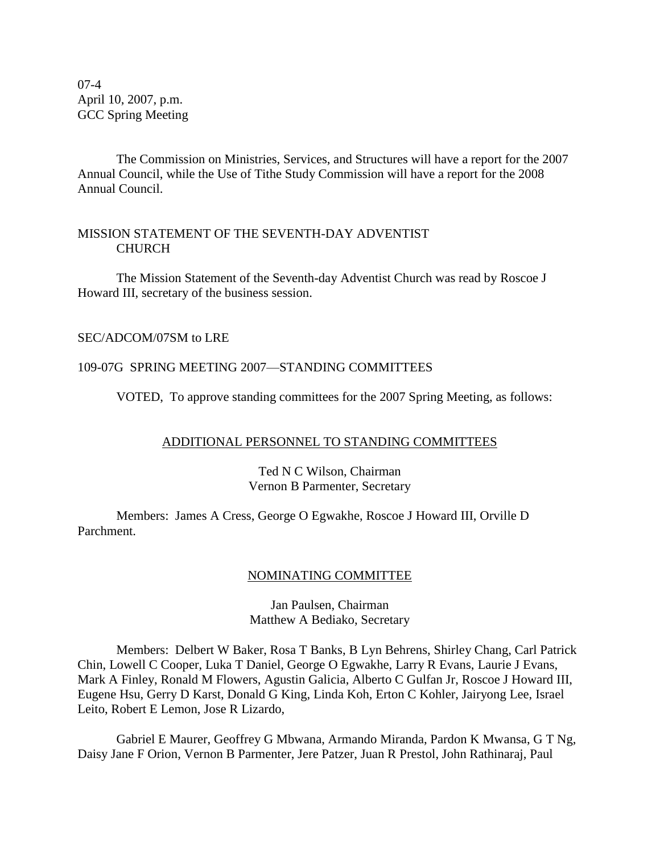07-4 April 10, 2007, p.m. GCC Spring Meeting

The Commission on Ministries, Services, and Structures will have a report for the 2007 Annual Council, while the Use of Tithe Study Commission will have a report for the 2008 Annual Council.

# MISSION STATEMENT OF THE SEVENTH-DAY ADVENTIST **CHURCH**

The Mission Statement of the Seventh-day Adventist Church was read by Roscoe J Howard III, secretary of the business session.

# SEC/ADCOM/07SM to LRE

## 109-07G SPRING MEETING 2007—STANDING COMMITTEES

VOTED, To approve standing committees for the 2007 Spring Meeting, as follows:

## ADDITIONAL PERSONNEL TO STANDING COMMITTEES

## Ted N C Wilson, Chairman Vernon B Parmenter, Secretary

Members: James A Cress, George O Egwakhe, Roscoe J Howard III, Orville D Parchment.

## NOMINATING COMMITTEE

Jan Paulsen, Chairman Matthew A Bediako, Secretary

Members: Delbert W Baker, Rosa T Banks, B Lyn Behrens, Shirley Chang, Carl Patrick Chin, Lowell C Cooper, Luka T Daniel, George O Egwakhe, Larry R Evans, Laurie J Evans, Mark A Finley, Ronald M Flowers, Agustin Galicia, Alberto C Gulfan Jr, Roscoe J Howard III, Eugene Hsu, Gerry D Karst, Donald G King, Linda Koh, Erton C Kohler, Jairyong Lee, Israel Leito, Robert E Lemon, Jose R Lizardo,

Gabriel E Maurer, Geoffrey G Mbwana, Armando Miranda, Pardon K Mwansa, G T Ng, Daisy Jane F Orion, Vernon B Parmenter, Jere Patzer, Juan R Prestol, John Rathinaraj, Paul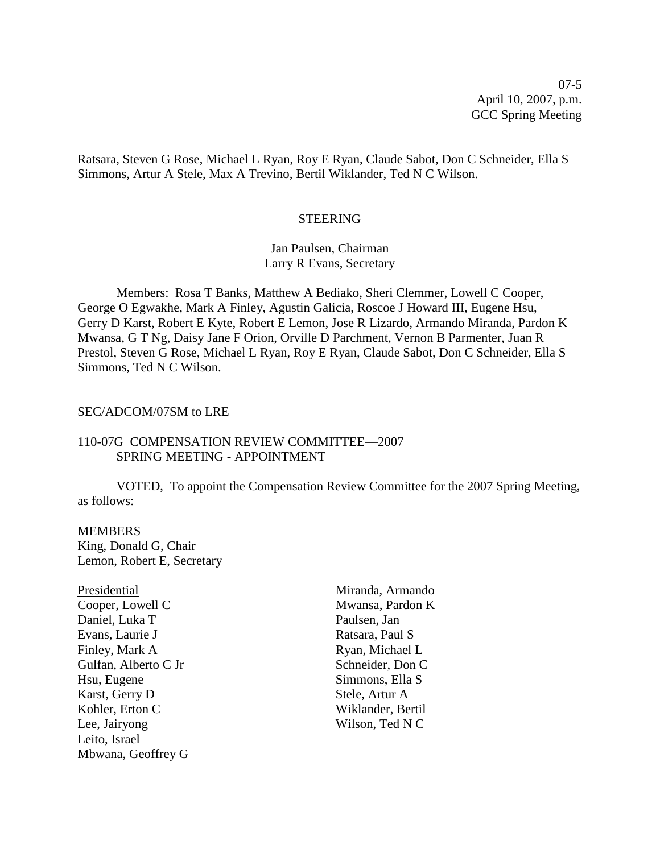07-5 April 10, 2007, p.m. GCC Spring Meeting

Ratsara, Steven G Rose, Michael L Ryan, Roy E Ryan, Claude Sabot, Don C Schneider, Ella S Simmons, Artur A Stele, Max A Trevino, Bertil Wiklander, Ted N C Wilson.

#### **STEERING**

#### Jan Paulsen, Chairman Larry R Evans, Secretary

Members: Rosa T Banks, Matthew A Bediako, Sheri Clemmer, Lowell C Cooper, George O Egwakhe, Mark A Finley, Agustin Galicia, Roscoe J Howard III, Eugene Hsu, Gerry D Karst, Robert E Kyte, Robert E Lemon, Jose R Lizardo, Armando Miranda, Pardon K Mwansa, G T Ng, Daisy Jane F Orion, Orville D Parchment, Vernon B Parmenter, Juan R Prestol, Steven G Rose, Michael L Ryan, Roy E Ryan, Claude Sabot, Don C Schneider, Ella S Simmons, Ted N C Wilson.

#### SEC/ADCOM/07SM to LRE

#### 110-07G COMPENSATION REVIEW COMMITTEE—2007 SPRING MEETING - APPOINTMENT

VOTED, To appoint the Compensation Review Committee for the 2007 Spring Meeting, as follows:

#### MEMBERS

King, Donald G, Chair Lemon, Robert E, Secretary

Presidential Cooper, Lowell C Daniel, Luka T Evans, Laurie J Finley, Mark A Gulfan, Alberto C Jr Hsu, Eugene Karst, Gerry D Kohler, Erton C Lee, Jairyong Leito, Israel Mbwana, Geoffrey G Miranda, Armando Mwansa, Pardon K Paulsen, Jan Ratsara, Paul S Ryan, Michael L Schneider, Don C Simmons, Ella S Stele, Artur A Wiklander, Bertil Wilson, Ted N C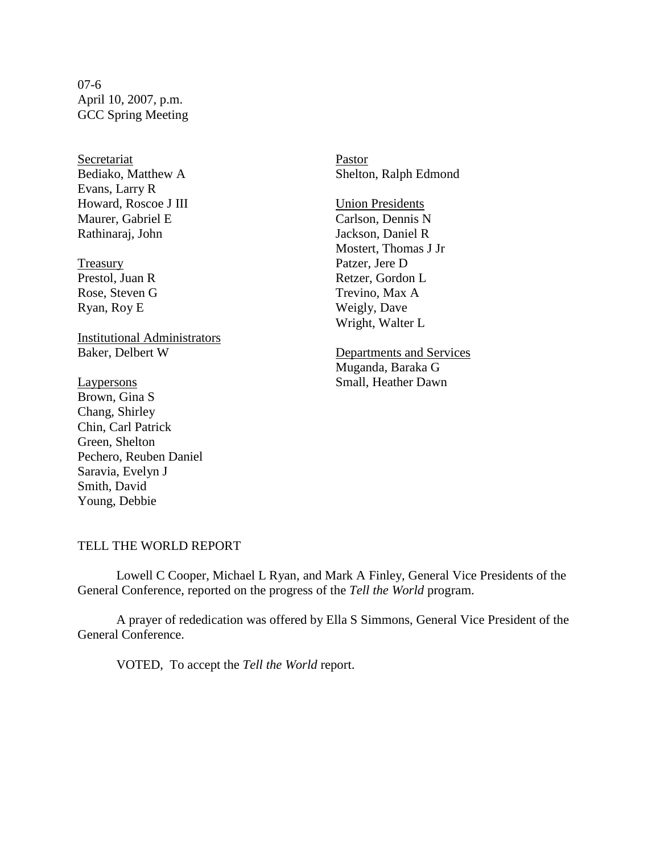07-6 April 10, 2007, p.m. GCC Spring Meeting

Secretariat Bediako, Matthew A Evans, Larry R Howard, Roscoe J III Maurer, Gabriel E Rathinaraj, John

Treasury Prestol, Juan R Rose, Steven G Ryan, Roy E

Institutional Administrators Baker, Delbert W

Laypersons Brown, Gina S Chang, Shirley Chin, Carl Patrick Green, Shelton Pechero, Reuben Daniel Saravia, Evelyn J Smith, David Young, Debbie

Pastor Shelton, Ralph Edmond

Union Presidents Carlson, Dennis N Jackson, Daniel R Mostert, Thomas J Jr Patzer, Jere D Retzer, Gordon L Trevino, Max A Weigly, Dave Wright, Walter L

Departments and Services Muganda, Baraka G Small, Heather Dawn

#### TELL THE WORLD REPORT

Lowell C Cooper, Michael L Ryan, and Mark A Finley, General Vice Presidents of the General Conference, reported on the progress of the *Tell the World* program.

A prayer of rededication was offered by Ella S Simmons, General Vice President of the General Conference.

VOTED, To accept the *Tell the World* report.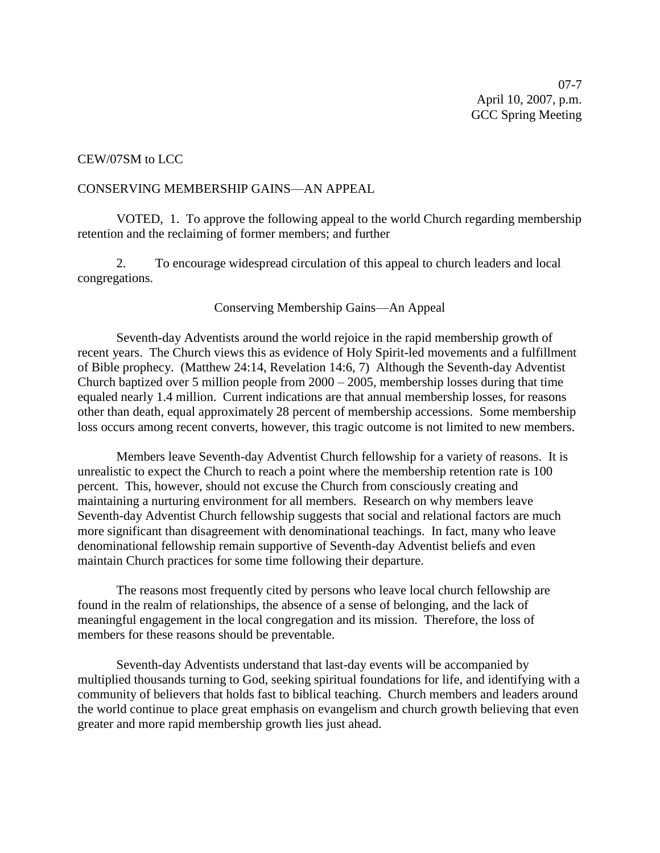07-7 April 10, 2007, p.m. GCC Spring Meeting

#### CEW/07SM to LCC

#### CONSERVING MEMBERSHIP GAINS—AN APPEAL

VOTED, 1. To approve the following appeal to the world Church regarding membership retention and the reclaiming of former members; and further

2. To encourage widespread circulation of this appeal to church leaders and local congregations.

#### Conserving Membership Gains—An Appeal

Seventh-day Adventists around the world rejoice in the rapid membership growth of recent years. The Church views this as evidence of Holy Spirit-led movements and a fulfillment of Bible prophecy. (Matthew 24:14, Revelation 14:6, 7) Although the Seventh-day Adventist Church baptized over 5 million people from  $2000 - 2005$ , membership losses during that time equaled nearly 1.4 million. Current indications are that annual membership losses, for reasons other than death, equal approximately 28 percent of membership accessions. Some membership loss occurs among recent converts, however, this tragic outcome is not limited to new members.

Members leave Seventh-day Adventist Church fellowship for a variety of reasons. It is unrealistic to expect the Church to reach a point where the membership retention rate is 100 percent. This, however, should not excuse the Church from consciously creating and maintaining a nurturing environment for all members. Research on why members leave Seventh-day Adventist Church fellowship suggests that social and relational factors are much more significant than disagreement with denominational teachings. In fact, many who leave denominational fellowship remain supportive of Seventh-day Adventist beliefs and even maintain Church practices for some time following their departure.

The reasons most frequently cited by persons who leave local church fellowship are found in the realm of relationships, the absence of a sense of belonging, and the lack of meaningful engagement in the local congregation and its mission. Therefore, the loss of members for these reasons should be preventable.

Seventh-day Adventists understand that last-day events will be accompanied by multiplied thousands turning to God, seeking spiritual foundations for life, and identifying with a community of believers that holds fast to biblical teaching. Church members and leaders around the world continue to place great emphasis on evangelism and church growth believing that even greater and more rapid membership growth lies just ahead.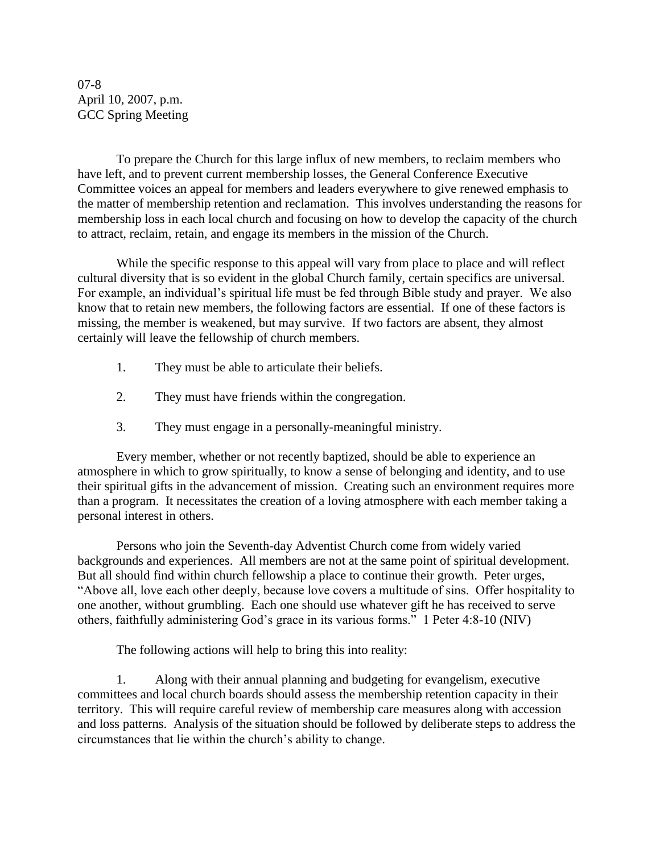07-8 April 10, 2007, p.m. GCC Spring Meeting

To prepare the Church for this large influx of new members, to reclaim members who have left, and to prevent current membership losses, the General Conference Executive Committee voices an appeal for members and leaders everywhere to give renewed emphasis to the matter of membership retention and reclamation. This involves understanding the reasons for membership loss in each local church and focusing on how to develop the capacity of the church to attract, reclaim, retain, and engage its members in the mission of the Church.

While the specific response to this appeal will vary from place to place and will reflect cultural diversity that is so evident in the global Church family, certain specifics are universal. For example, an individual's spiritual life must be fed through Bible study and prayer. We also know that to retain new members, the following factors are essential. If one of these factors is missing, the member is weakened, but may survive. If two factors are absent, they almost certainly will leave the fellowship of church members.

- 1. They must be able to articulate their beliefs.
- 2. They must have friends within the congregation.
- 3. They must engage in a personally-meaningful ministry.

Every member, whether or not recently baptized, should be able to experience an atmosphere in which to grow spiritually, to know a sense of belonging and identity, and to use their spiritual gifts in the advancement of mission. Creating such an environment requires more than a program. It necessitates the creation of a loving atmosphere with each member taking a personal interest in others.

Persons who join the Seventh-day Adventist Church come from widely varied backgrounds and experiences. All members are not at the same point of spiritual development. But all should find within church fellowship a place to continue their growth. Peter urges, ―Above all, love each other deeply, because love covers a multitude of sins. Offer hospitality to one another, without grumbling. Each one should use whatever gift he has received to serve others, faithfully administering God's grace in its various forms." 1 Peter 4:8-10 (NIV)

The following actions will help to bring this into reality:

1. Along with their annual planning and budgeting for evangelism, executive committees and local church boards should assess the membership retention capacity in their territory. This will require careful review of membership care measures along with accession and loss patterns. Analysis of the situation should be followed by deliberate steps to address the circumstances that lie within the church's ability to change.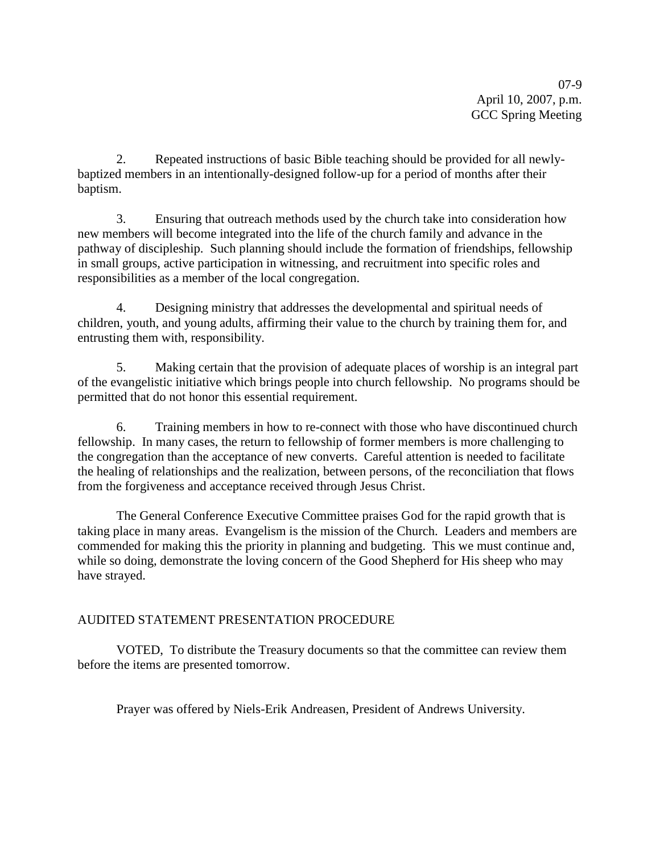07-9 April 10, 2007, p.m. GCC Spring Meeting

2. Repeated instructions of basic Bible teaching should be provided for all newlybaptized members in an intentionally-designed follow-up for a period of months after their baptism.

3. Ensuring that outreach methods used by the church take into consideration how new members will become integrated into the life of the church family and advance in the pathway of discipleship. Such planning should include the formation of friendships, fellowship in small groups, active participation in witnessing, and recruitment into specific roles and responsibilities as a member of the local congregation.

4. Designing ministry that addresses the developmental and spiritual needs of children, youth, and young adults, affirming their value to the church by training them for, and entrusting them with, responsibility.

5. Making certain that the provision of adequate places of worship is an integral part of the evangelistic initiative which brings people into church fellowship. No programs should be permitted that do not honor this essential requirement.

6. Training members in how to re-connect with those who have discontinued church fellowship. In many cases, the return to fellowship of former members is more challenging to the congregation than the acceptance of new converts. Careful attention is needed to facilitate the healing of relationships and the realization, between persons, of the reconciliation that flows from the forgiveness and acceptance received through Jesus Christ.

The General Conference Executive Committee praises God for the rapid growth that is taking place in many areas. Evangelism is the mission of the Church. Leaders and members are commended for making this the priority in planning and budgeting. This we must continue and, while so doing, demonstrate the loving concern of the Good Shepherd for His sheep who may have strayed.

# AUDITED STATEMENT PRESENTATION PROCEDURE

VOTED, To distribute the Treasury documents so that the committee can review them before the items are presented tomorrow.

Prayer was offered by Niels-Erik Andreasen, President of Andrews University.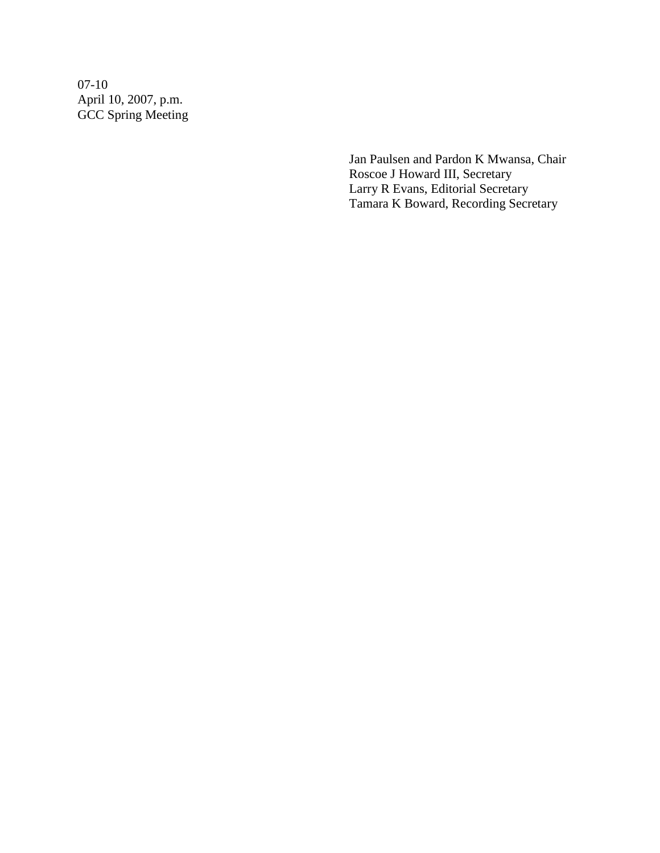07-10 April 10, 2007, p.m. GCC Spring Meeting

> Jan Paulsen and Pardon K Mwansa, Chair Roscoe J Howard III, Secretary Larry R Evans, Editorial Secretary Tamara K Boward, Recording Secretary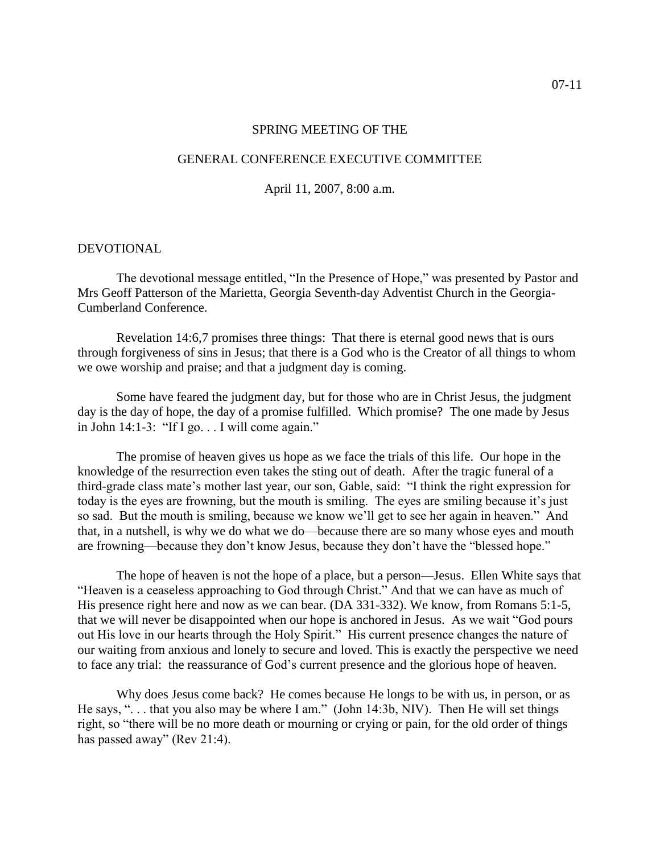#### SPRING MEETING OF THE

#### GENERAL CONFERENCE EXECUTIVE COMMITTEE

April 11, 2007, 8:00 a.m.

#### DEVOTIONAL

The devotional message entitled, "In the Presence of Hope," was presented by Pastor and Mrs Geoff Patterson of the Marietta, Georgia Seventh-day Adventist Church in the Georgia-Cumberland Conference.

Revelation 14:6,7 promises three things: That there is eternal good news that is ours through forgiveness of sins in Jesus; that there is a God who is the Creator of all things to whom we owe worship and praise; and that a judgment day is coming.

Some have feared the judgment day, but for those who are in Christ Jesus, the judgment day is the day of hope, the day of a promise fulfilled. Which promise? The one made by Jesus in John  $14:1-3$ : "If I go.  $\ldots$  I will come again."

The promise of heaven gives us hope as we face the trials of this life. Our hope in the knowledge of the resurrection even takes the sting out of death. After the tragic funeral of a third-grade class mate's mother last year, our son, Gable, said: "I think the right expression for today is the eyes are frowning, but the mouth is smiling. The eyes are smiling because it's just so sad. But the mouth is smiling, because we know we'll get to see her again in heaven." And that, in a nutshell, is why we do what we do—because there are so many whose eyes and mouth are frowning—because they don't know Jesus, because they don't have the "blessed hope."

The hope of heaven is not the hope of a place, but a person—Jesus. Ellen White says that "Heaven is a ceaseless approaching to God through Christ." And that we can have as much of His presence right here and now as we can bear. (DA 331-332). We know, from Romans 5:1-5, that we will never be disappointed when our hope is anchored in Jesus. As we wait "God pours out His love in our hearts through the Holy Spirit." His current presence changes the nature of our waiting from anxious and lonely to secure and loved. This is exactly the perspective we need to face any trial: the reassurance of God's current presence and the glorious hope of heaven.

Why does Jesus come back? He comes because He longs to be with us, in person, or as He says, " $\ldots$  that you also may be where I am." (John 14:3b, NIV). Then He will set things right, so "there will be no more death or mourning or crying or pain, for the old order of things has passed away" (Rev 21:4).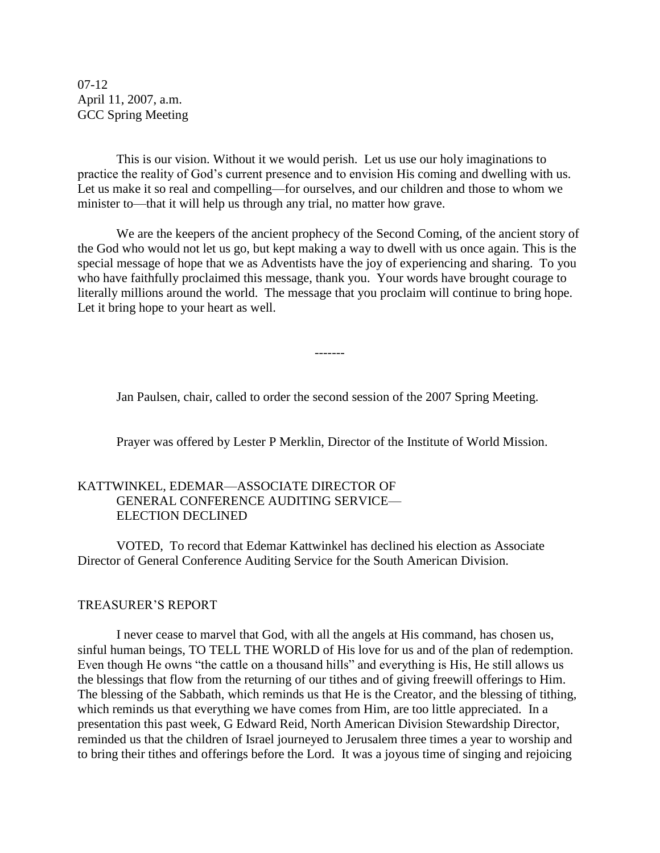07-12 April 11, 2007, a.m. GCC Spring Meeting

This is our vision. Without it we would perish. Let us use our holy imaginations to practice the reality of God's current presence and to envision His coming and dwelling with us. Let us make it so real and compelling—for ourselves, and our children and those to whom we minister to—that it will help us through any trial, no matter how grave.

We are the keepers of the ancient prophecy of the Second Coming, of the ancient story of the God who would not let us go, but kept making a way to dwell with us once again. This is the special message of hope that we as Adventists have the joy of experiencing and sharing. To you who have faithfully proclaimed this message, thank you. Your words have brought courage to literally millions around the world. The message that you proclaim will continue to bring hope. Let it bring hope to your heart as well.

Jan Paulsen, chair, called to order the second session of the 2007 Spring Meeting.

-------

Prayer was offered by Lester P Merklin, Director of the Institute of World Mission.

## KATTWINKEL, EDEMAR—ASSOCIATE DIRECTOR OF GENERAL CONFERENCE AUDITING SERVICE— ELECTION DECLINED

VOTED, To record that Edemar Kattwinkel has declined his election as Associate Director of General Conference Auditing Service for the South American Division.

#### TREASURER'S REPORT

I never cease to marvel that God, with all the angels at His command, has chosen us, sinful human beings, TO TELL THE WORLD of His love for us and of the plan of redemption. Even though He owns "the cattle on a thousand hills" and everything is His, He still allows us the blessings that flow from the returning of our tithes and of giving freewill offerings to Him. The blessing of the Sabbath, which reminds us that He is the Creator, and the blessing of tithing, which reminds us that everything we have comes from Him, are too little appreciated. In a presentation this past week, G Edward Reid, North American Division Stewardship Director, reminded us that the children of Israel journeyed to Jerusalem three times a year to worship and to bring their tithes and offerings before the Lord. It was a joyous time of singing and rejoicing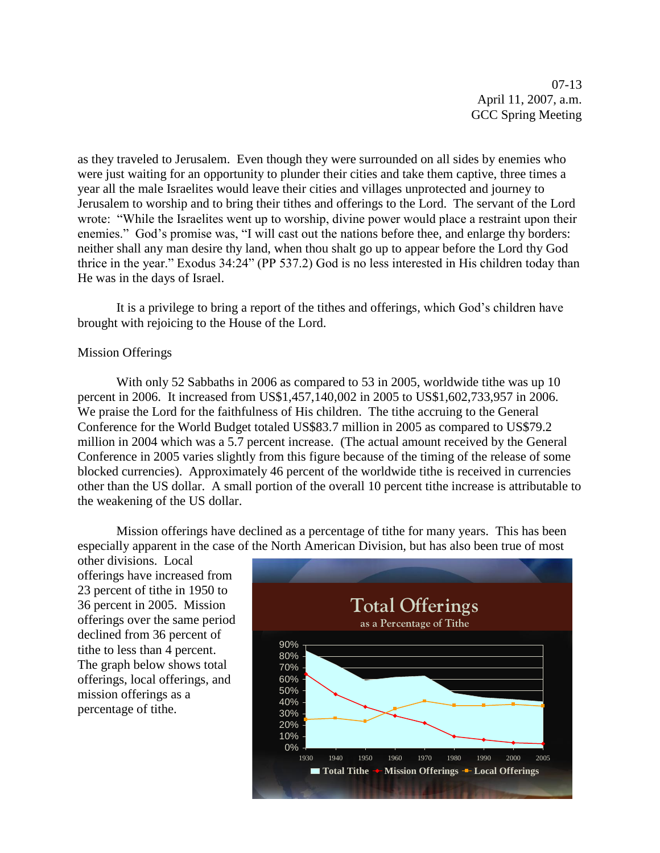07-13 April 11, 2007, a.m. GCC Spring Meeting

as they traveled to Jerusalem. Even though they were surrounded on all sides by enemies who were just waiting for an opportunity to plunder their cities and take them captive, three times a year all the male Israelites would leave their cities and villages unprotected and journey to Jerusalem to worship and to bring their tithes and offerings to the Lord. The servant of the Lord wrote: "While the Israelites went up to worship, divine power would place a restraint upon their enemies." God's promise was, "I will cast out the nations before thee, and enlarge thy borders: neither shall any man desire thy land, when thou shalt go up to appear before the Lord thy God thrice in the year." Exodus 34:24" (PP 537.2) God is no less interested in His children today than He was in the days of Israel.

It is a privilege to bring a report of the tithes and offerings, which God's children have brought with rejoicing to the House of the Lord.

#### Mission Offerings

With only 52 Sabbaths in 2006 as compared to 53 in 2005, worldwide tithe was up 10 percent in 2006. It increased from US\$1,457,140,002 in 2005 to US\$1,602,733,957 in 2006. We praise the Lord for the faithfulness of His children. The tithe accruing to the General Conference for the World Budget totaled US\$83.7 million in 2005 as compared to US\$79.2 million in 2004 which was a 5.7 percent increase. (The actual amount received by the General Conference in 2005 varies slightly from this figure because of the timing of the release of some blocked currencies). Approximately 46 percent of the worldwide tithe is received in currencies other than the US dollar. A small portion of the overall 10 percent tithe increase is attributable to the weakening of the US dollar.

Mission offerings have declined as a percentage of tithe for many years. This has been especially apparent in the case of the North American Division, but has also been true of most

other divisions. Local offerings have increased from 23 percent of tithe in 1950 to 36 percent in 2005. Mission offerings over the same period declined from 36 percent of tithe to less than 4 percent. The graph below shows total offerings, local offerings, and mission offerings as a percentage of tithe.

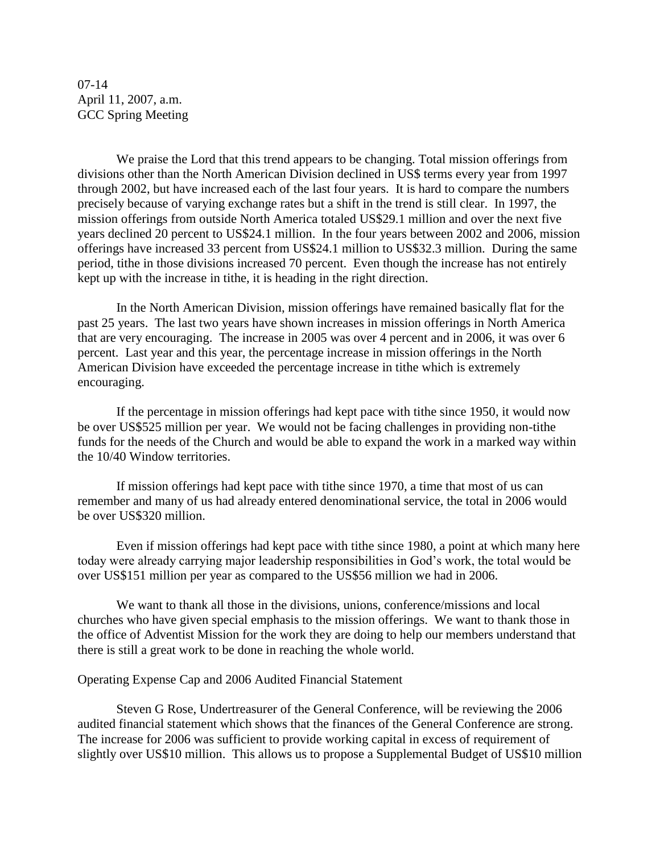07-14 April 11, 2007, a.m. GCC Spring Meeting

We praise the Lord that this trend appears to be changing. Total mission offerings from divisions other than the North American Division declined in US\$ terms every year from 1997 through 2002, but have increased each of the last four years. It is hard to compare the numbers precisely because of varying exchange rates but a shift in the trend is still clear. In 1997, the mission offerings from outside North America totaled US\$29.1 million and over the next five years declined 20 percent to US\$24.1 million. In the four years between 2002 and 2006, mission offerings have increased 33 percent from US\$24.1 million to US\$32.3 million. During the same period, tithe in those divisions increased 70 percent. Even though the increase has not entirely kept up with the increase in tithe, it is heading in the right direction.

In the North American Division, mission offerings have remained basically flat for the past 25 years. The last two years have shown increases in mission offerings in North America that are very encouraging. The increase in 2005 was over 4 percent and in 2006, it was over 6 percent. Last year and this year, the percentage increase in mission offerings in the North American Division have exceeded the percentage increase in tithe which is extremely encouraging.

If the percentage in mission offerings had kept pace with tithe since 1950, it would now be over US\$525 million per year. We would not be facing challenges in providing non-tithe funds for the needs of the Church and would be able to expand the work in a marked way within the 10/40 Window territories.

If mission offerings had kept pace with tithe since 1970, a time that most of us can remember and many of us had already entered denominational service, the total in 2006 would be over US\$320 million.

Even if mission offerings had kept pace with tithe since 1980, a point at which many here today were already carrying major leadership responsibilities in God's work, the total would be over US\$151 million per year as compared to the US\$56 million we had in 2006.

We want to thank all those in the divisions, unions, conference/missions and local churches who have given special emphasis to the mission offerings. We want to thank those in the office of Adventist Mission for the work they are doing to help our members understand that there is still a great work to be done in reaching the whole world.

#### Operating Expense Cap and 2006 Audited Financial Statement

Steven G Rose, Undertreasurer of the General Conference, will be reviewing the 2006 audited financial statement which shows that the finances of the General Conference are strong. The increase for 2006 was sufficient to provide working capital in excess of requirement of slightly over US\$10 million. This allows us to propose a Supplemental Budget of US\$10 million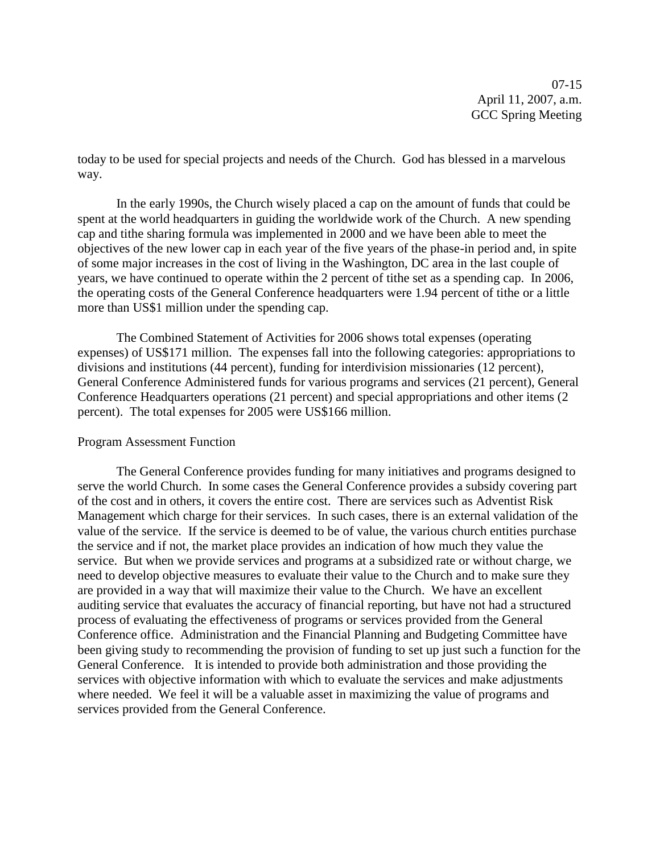07-15 April 11, 2007, a.m. GCC Spring Meeting

today to be used for special projects and needs of the Church. God has blessed in a marvelous way.

In the early 1990s, the Church wisely placed a cap on the amount of funds that could be spent at the world headquarters in guiding the worldwide work of the Church. A new spending cap and tithe sharing formula was implemented in 2000 and we have been able to meet the objectives of the new lower cap in each year of the five years of the phase-in period and, in spite of some major increases in the cost of living in the Washington, DC area in the last couple of years, we have continued to operate within the 2 percent of tithe set as a spending cap. In 2006, the operating costs of the General Conference headquarters were 1.94 percent of tithe or a little more than US\$1 million under the spending cap.

The Combined Statement of Activities for 2006 shows total expenses (operating expenses) of US\$171 million. The expenses fall into the following categories: appropriations to divisions and institutions (44 percent), funding for interdivision missionaries (12 percent), General Conference Administered funds for various programs and services (21 percent), General Conference Headquarters operations (21 percent) and special appropriations and other items (2 percent). The total expenses for 2005 were US\$166 million.

#### Program Assessment Function

The General Conference provides funding for many initiatives and programs designed to serve the world Church. In some cases the General Conference provides a subsidy covering part of the cost and in others, it covers the entire cost. There are services such as Adventist Risk Management which charge for their services. In such cases, there is an external validation of the value of the service. If the service is deemed to be of value, the various church entities purchase the service and if not, the market place provides an indication of how much they value the service. But when we provide services and programs at a subsidized rate or without charge, we need to develop objective measures to evaluate their value to the Church and to make sure they are provided in a way that will maximize their value to the Church. We have an excellent auditing service that evaluates the accuracy of financial reporting, but have not had a structured process of evaluating the effectiveness of programs or services provided from the General Conference office. Administration and the Financial Planning and Budgeting Committee have been giving study to recommending the provision of funding to set up just such a function for the General Conference. It is intended to provide both administration and those providing the services with objective information with which to evaluate the services and make adjustments where needed. We feel it will be a valuable asset in maximizing the value of programs and services provided from the General Conference.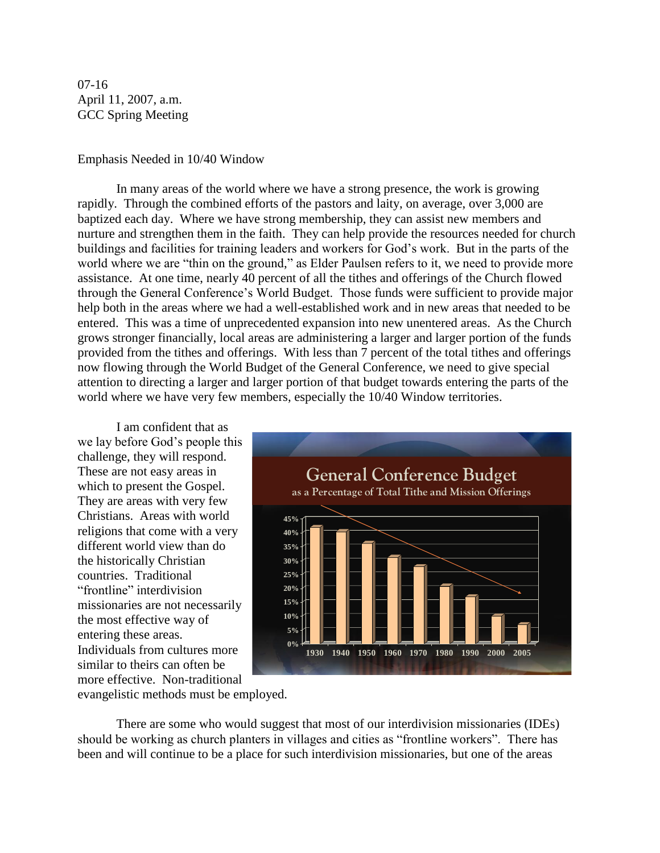07-16 April 11, 2007, a.m. GCC Spring Meeting

#### Emphasis Needed in 10/40 Window

In many areas of the world where we have a strong presence, the work is growing rapidly. Through the combined efforts of the pastors and laity, on average, over 3,000 are baptized each day. Where we have strong membership, they can assist new members and nurture and strengthen them in the faith. They can help provide the resources needed for church buildings and facilities for training leaders and workers for God's work. But in the parts of the world where we are "thin on the ground," as Elder Paulsen refers to it, we need to provide more assistance. At one time, nearly 40 percent of all the tithes and offerings of the Church flowed through the General Conference's World Budget. Those funds were sufficient to provide major help both in the areas where we had a well-established work and in new areas that needed to be entered. This was a time of unprecedented expansion into new unentered areas. As the Church grows stronger financially, local areas are administering a larger and larger portion of the funds provided from the tithes and offerings. With less than 7 percent of the total tithes and offerings now flowing through the World Budget of the General Conference, we need to give special attention to directing a larger and larger portion of that budget towards entering the parts of the world where we have very few members, especially the 10/40 Window territories.

I am confident that as we lay before God's people this challenge, they will respond. These are not easy areas in which to present the Gospel. They are areas with very few Christians. Areas with world religions that come with a very different world view than do the historically Christian countries. Traditional "frontline" interdivision missionaries are not necessarily the most effective way of entering these areas. Individuals from cultures more similar to theirs can often be more effective. Non-traditional



evangelistic methods must be employed.

There are some who would suggest that most of our interdivision missionaries (IDEs) should be working as church planters in villages and cities as "frontline workers". There has been and will continue to be a place for such interdivision missionaries, but one of the areas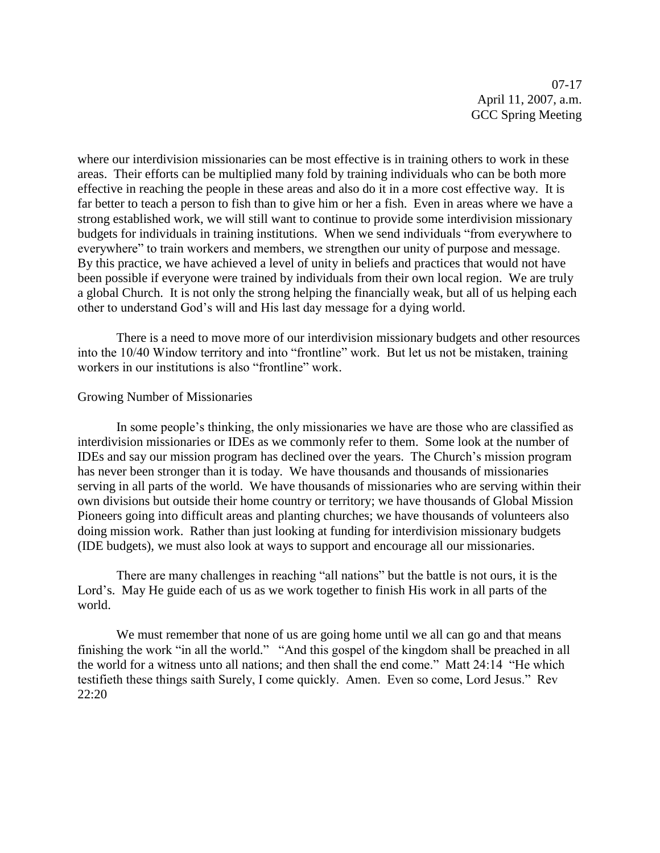07-17 April 11, 2007, a.m. GCC Spring Meeting

where our interdivision missionaries can be most effective is in training others to work in these areas. Their efforts can be multiplied many fold by training individuals who can be both more effective in reaching the people in these areas and also do it in a more cost effective way. It is far better to teach a person to fish than to give him or her a fish. Even in areas where we have a strong established work, we will still want to continue to provide some interdivision missionary budgets for individuals in training institutions. When we send individuals "from everywhere to everywhere" to train workers and members, we strengthen our unity of purpose and message. By this practice, we have achieved a level of unity in beliefs and practices that would not have been possible if everyone were trained by individuals from their own local region. We are truly a global Church. It is not only the strong helping the financially weak, but all of us helping each other to understand God's will and His last day message for a dying world.

There is a need to move more of our interdivision missionary budgets and other resources into the 10/40 Window territory and into "frontline" work. But let us not be mistaken, training workers in our institutions is also "frontline" work.

#### Growing Number of Missionaries

In some people's thinking, the only missionaries we have are those who are classified as interdivision missionaries or IDEs as we commonly refer to them. Some look at the number of IDEs and say our mission program has declined over the years. The Church's mission program has never been stronger than it is today. We have thousands and thousands of missionaries serving in all parts of the world. We have thousands of missionaries who are serving within their own divisions but outside their home country or territory; we have thousands of Global Mission Pioneers going into difficult areas and planting churches; we have thousands of volunteers also doing mission work. Rather than just looking at funding for interdivision missionary budgets (IDE budgets), we must also look at ways to support and encourage all our missionaries.

There are many challenges in reaching "all nations" but the battle is not ours, it is the Lord's. May He guide each of us as we work together to finish His work in all parts of the world.

We must remember that none of us are going home until we all can go and that means finishing the work "in all the world." "And this gospel of the kingdom shall be preached in all the world for a witness unto all nations; and then shall the end come." Matt 24:14 "He which testifieth these things saith Surely, I come quickly. Amen. Even so come, Lord Jesus." Rev 22:20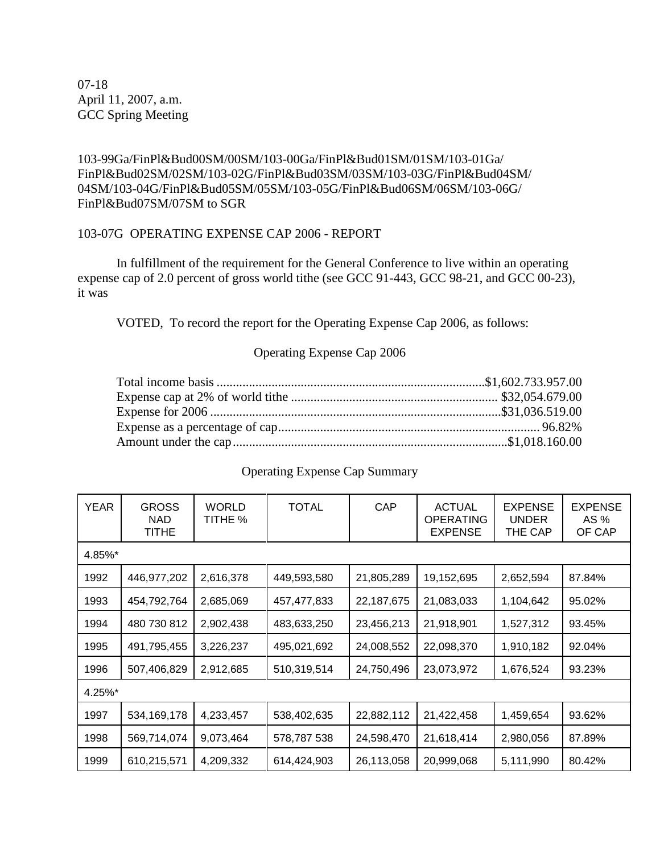07-18 April 11, 2007, a.m. GCC Spring Meeting

103-99Ga/FinPl&Bud00SM/00SM/103-00Ga/FinPl&Bud01SM/01SM/103-01Ga/ FinPl&Bud02SM/02SM/103-02G/FinPl&Bud03SM/03SM/103-03G/FinPl&Bud04SM/ 04SM/103-04G/FinPl&Bud05SM/05SM/103-05G/FinPl&Bud06SM/06SM/103-06G/ FinPl&Bud07SM/07SM to SGR

## 103-07G OPERATING EXPENSE CAP 2006 - REPORT

In fulfillment of the requirement for the General Conference to live within an operating expense cap of 2.0 percent of gross world tithe (see GCC 91-443, GCC 98-21, and GCC 00-23), it was

VOTED, To record the report for the Operating Expense Cap 2006, as follows:

# Operating Expense Cap 2006

# Operating Expense Cap Summary

| YEAR   | <b>GROSS</b><br>NAD.<br>TITHE | <b>WORLD</b><br>TITHE % | <b>TOTAL</b> | CAP        | <b>ACTUAL</b><br><b>OPERATING</b><br><b>EXPENSE</b> | <b>EXPENSE</b><br><b>UNDER</b><br>THE CAP | <b>EXPENSE</b><br>AS %<br>OF CAP |
|--------|-------------------------------|-------------------------|--------------|------------|-----------------------------------------------------|-------------------------------------------|----------------------------------|
| 4.85%* |                               |                         |              |            |                                                     |                                           |                                  |
| 1992   | 446,977,202                   | 2,616,378               | 449,593,580  | 21,805,289 | 19,152,695                                          | 2,652,594                                 | 87.84%                           |
| 1993   | 454,792,764                   | 2,685,069               | 457,477,833  | 22,187,675 | 21,083,033                                          | 1,104,642                                 | 95.02%                           |
| 1994   | 480 730 812                   | 2,902,438               | 483,633,250  | 23,456,213 | 21,918,901                                          | 1,527,312                                 | 93.45%                           |
| 1995   | 491,795,455                   | 3,226,237               | 495,021,692  | 24,008,552 | 22,098,370                                          | 1,910,182                                 | 92.04%                           |
| 1996   | 507,406,829                   | 2,912,685               | 510,319,514  | 24,750,496 | 23,073,972                                          | 1,676,524                                 | 93.23%                           |
| 4.25%* |                               |                         |              |            |                                                     |                                           |                                  |
| 1997   | 534, 169, 178                 | 4,233,457               | 538,402,635  | 22,882,112 | 21,422,458                                          | 1,459,654                                 | 93.62%                           |
| 1998   | 569,714,074                   | 9,073,464               | 578,787 538  | 24,598,470 | 21,618,414                                          | 2,980,056                                 | 87.89%                           |
| 1999   | 610,215,571                   | 4,209,332               | 614,424,903  | 26,113,058 | 20,999,068                                          | 5,111,990                                 | 80.42%                           |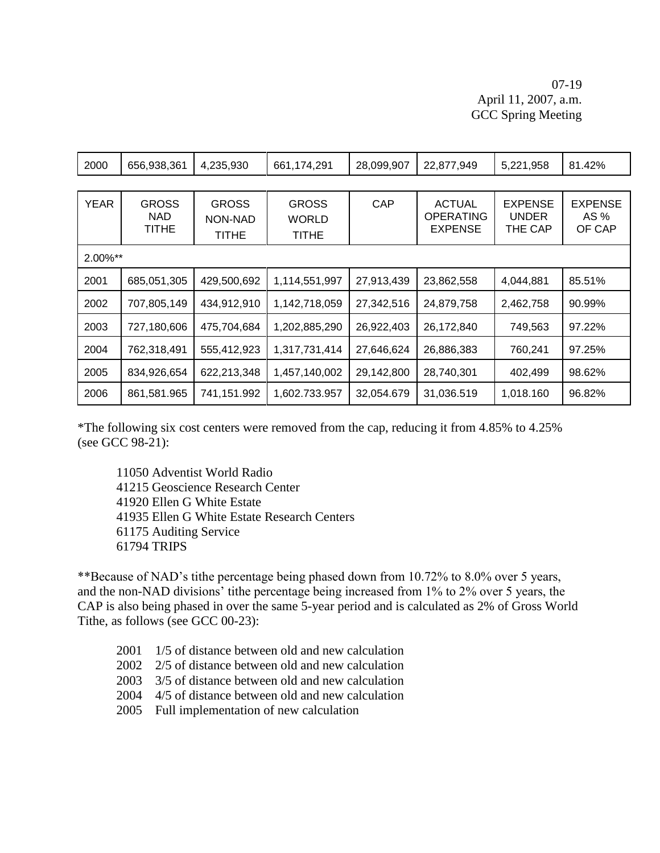# 07-19 April 11, 2007, a.m. GCC Spring Meeting

| 2000    | 656,938,361                         | 4,235,930                        | 661,174,291                           | 28,099,907 | 22,877,949                                          | 5,221,958                                 | 81.42%                           |
|---------|-------------------------------------|----------------------------------|---------------------------------------|------------|-----------------------------------------------------|-------------------------------------------|----------------------------------|
|         |                                     |                                  |                                       |            |                                                     |                                           |                                  |
| YEAR    | <b>GROSS</b><br><b>NAD</b><br>TITHE | <b>GROSS</b><br>NON-NAD<br>TITHE | <b>GROSS</b><br><b>WORLD</b><br>TITHE | <b>CAP</b> | <b>ACTUAL</b><br><b>OPERATING</b><br><b>EXPENSE</b> | <b>EXPENSE</b><br><b>UNDER</b><br>THE CAP | <b>EXPENSE</b><br>AS %<br>OF CAP |
| 2.00%** |                                     |                                  |                                       |            |                                                     |                                           |                                  |
| 2001    | 685,051,305                         | 429,500,692                      | 1,114,551,997                         | 27,913,439 | 23,862,558                                          | 4,044,881                                 | 85.51%                           |
| 2002    | 707,805,149                         | 434,912,910                      | 1,142,718,059                         | 27,342,516 | 24,879,758                                          | 2,462,758                                 | 90.99%                           |
| 2003    | 727,180,606                         | 475,704,684                      | 1,202,885,290                         | 26,922,403 | 26,172,840                                          | 749,563                                   | 97.22%                           |
| 2004    | 762,318,491                         | 555,412,923                      | 1,317,731,414                         | 27,646,624 | 26,886,383                                          | 760,241                                   | 97.25%                           |
| 2005    | 834,926,654                         | 622,213,348                      | 1,457,140,002                         | 29,142,800 | 28,740,301                                          | 402,499                                   | 98.62%                           |
| 2006    | 861,581.965                         | 741,151.992                      | 1,602.733.957                         | 32,054.679 | 31,036.519                                          | 1,018.160                                 | 96.82%                           |

\*The following six cost centers were removed from the cap, reducing it from 4.85% to 4.25% (see GCC 98-21):

11050 Adventist World Radio 41215 Geoscience Research Center 41920 Ellen G White Estate 41935 Ellen G White Estate Research Centers 61175 Auditing Service 61794 TRIPS

\*\*Because of NAD's tithe percentage being phased down from 10.72% to 8.0% over 5 years, and the non-NAD divisions' tithe percentage being increased from 1% to 2% over 5 years, the CAP is also being phased in over the same 5-year period and is calculated as 2% of Gross World Tithe, as follows (see GCC 00-23):

- 2001 1/5 of distance between old and new calculation
- 2002 2/5 of distance between old and new calculation
- 2003 3/5 of distance between old and new calculation
- 2004 4/5 of distance between old and new calculation
- 2005 Full implementation of new calculation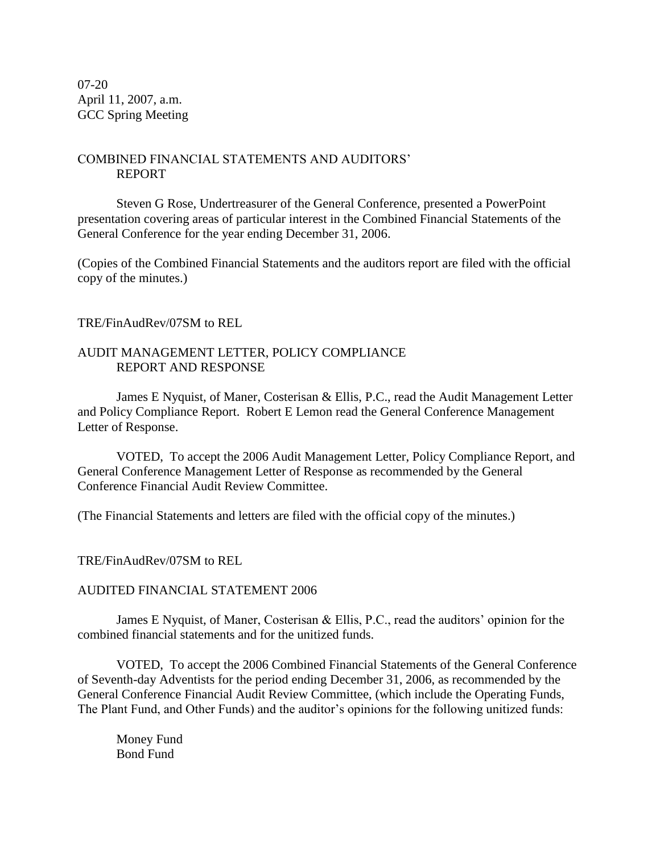07-20 April 11, 2007, a.m. GCC Spring Meeting

# COMBINED FINANCIAL STATEMENTS AND AUDITORS' REPORT

Steven G Rose, Undertreasurer of the General Conference, presented a PowerPoint presentation covering areas of particular interest in the Combined Financial Statements of the General Conference for the year ending December 31, 2006.

(Copies of the Combined Financial Statements and the auditors report are filed with the official copy of the minutes.)

#### TRE/FinAudRev/07SM to REL

#### AUDIT MANAGEMENT LETTER, POLICY COMPLIANCE REPORT AND RESPONSE

James E Nyquist, of Maner, Costerisan & Ellis, P.C., read the Audit Management Letter and Policy Compliance Report. Robert E Lemon read the General Conference Management Letter of Response.

VOTED, To accept the 2006 Audit Management Letter, Policy Compliance Report, and General Conference Management Letter of Response as recommended by the General Conference Financial Audit Review Committee.

(The Financial Statements and letters are filed with the official copy of the minutes.)

#### TRE/FinAudRev/07SM to REL

#### AUDITED FINANCIAL STATEMENT 2006

James E Nyquist, of Maner, Costerisan & Ellis, P.C., read the auditors' opinion for the combined financial statements and for the unitized funds.

VOTED, To accept the 2006 Combined Financial Statements of the General Conference of Seventh-day Adventists for the period ending December 31, 2006, as recommended by the General Conference Financial Audit Review Committee, (which include the Operating Funds, The Plant Fund, and Other Funds) and the auditor's opinions for the following unitized funds:

Money Fund Bond Fund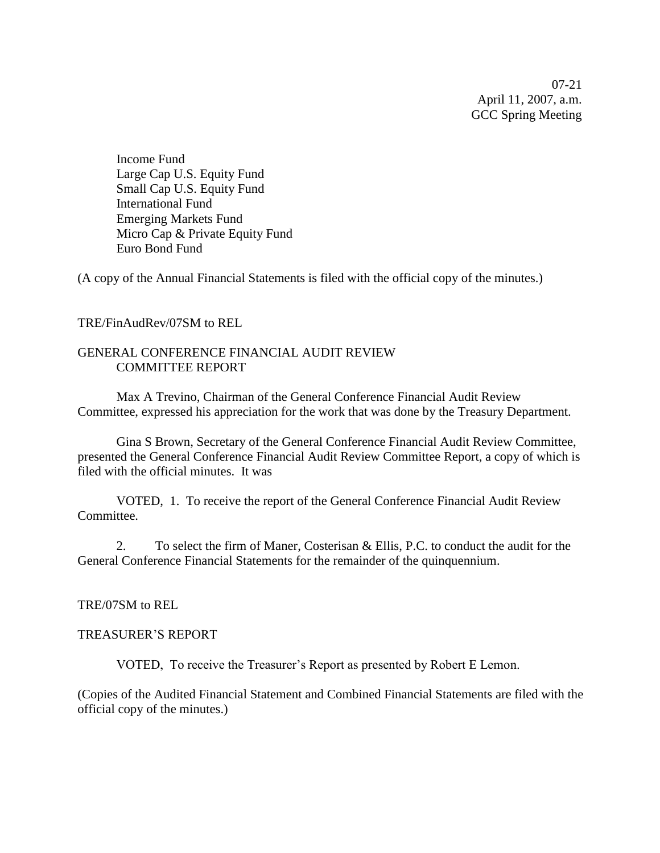07-21 April 11, 2007, a.m. GCC Spring Meeting

Income Fund Large Cap U.S. Equity Fund Small Cap U.S. Equity Fund International Fund Emerging Markets Fund Micro Cap & Private Equity Fund Euro Bond Fund

(A copy of the Annual Financial Statements is filed with the official copy of the minutes.)

#### TRE/FinAudRev/07SM to REL

#### GENERAL CONFERENCE FINANCIAL AUDIT REVIEW COMMITTEE REPORT

Max A Trevino, Chairman of the General Conference Financial Audit Review Committee, expressed his appreciation for the work that was done by the Treasury Department.

Gina S Brown, Secretary of the General Conference Financial Audit Review Committee, presented the General Conference Financial Audit Review Committee Report, a copy of which is filed with the official minutes. It was

VOTED, 1. To receive the report of the General Conference Financial Audit Review Committee.

2. To select the firm of Maner, Costerisan & Ellis, P.C. to conduct the audit for the General Conference Financial Statements for the remainder of the quinquennium.

#### TRE/07SM to REL

#### TREASURER'S REPORT

VOTED, To receive the Treasurer's Report as presented by Robert E Lemon.

(Copies of the Audited Financial Statement and Combined Financial Statements are filed with the official copy of the minutes.)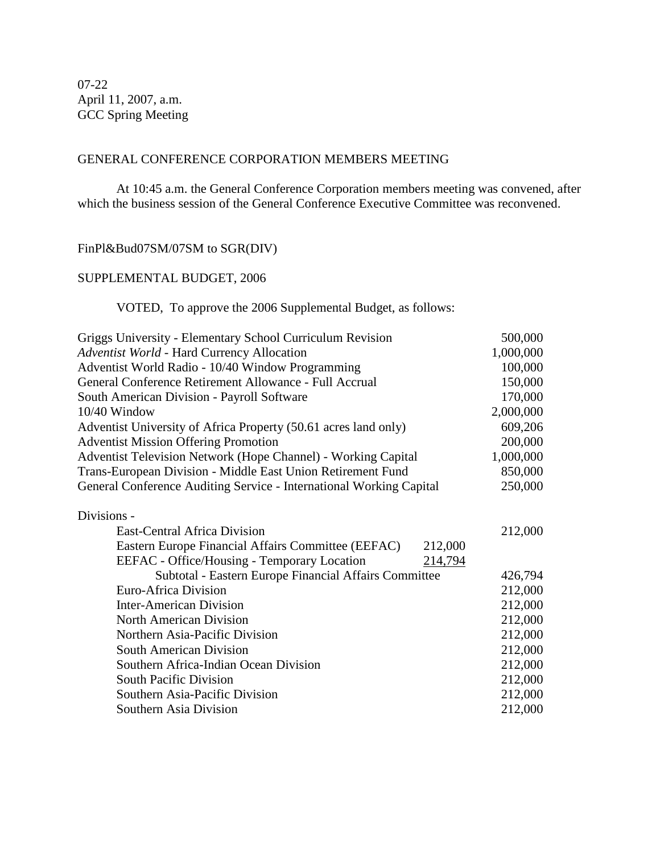07-22 April 11, 2007, a.m. GCC Spring Meeting

# GENERAL CONFERENCE CORPORATION MEMBERS MEETING

At 10:45 a.m. the General Conference Corporation members meeting was convened, after which the business session of the General Conference Executive Committee was reconvened.

# FinPl&Bud07SM/07SM to SGR(DIV)

# SUPPLEMENTAL BUDGET, 2006

# VOTED, To approve the 2006 Supplemental Budget, as follows:

| Griggs University - Elementary School Curriculum Revision            | 500,000   |
|----------------------------------------------------------------------|-----------|
| Adventist World - Hard Currency Allocation                           | 1,000,000 |
| Adventist World Radio - 10/40 Window Programming                     | 100,000   |
| General Conference Retirement Allowance - Full Accrual               | 150,000   |
| South American Division - Payroll Software                           | 170,000   |
| 10/40 Window                                                         | 2,000,000 |
| Adventist University of Africa Property (50.61 acres land only)      | 609,206   |
| <b>Adventist Mission Offering Promotion</b>                          | 200,000   |
| <b>Adventist Television Network (Hope Channel) - Working Capital</b> | 1,000,000 |
| Trans-European Division - Middle East Union Retirement Fund          | 850,000   |
| General Conference Auditing Service - International Working Capital  | 250,000   |
| Divisions -                                                          |           |
| <b>East-Central Africa Division</b>                                  | 212,000   |
| Eastern Europe Financial Affairs Committee (EEFAC)<br>212,000        |           |
| EEFAC - Office/Housing - Temporary Location<br>214,794               |           |
| Subtotal - Eastern Europe Financial Affairs Committee                | 426,794   |
| Euro-Africa Division                                                 | 212,000   |
| <b>Inter-American Division</b>                                       | 212,000   |
| <b>North American Division</b>                                       | 212,000   |
| Northern Asia-Pacific Division                                       | 212,000   |
| <b>South American Division</b>                                       | 212,000   |
| Southern Africa-Indian Ocean Division                                | 212,000   |
| <b>South Pacific Division</b>                                        | 212,000   |
| Southern Asia-Pacific Division                                       | 212,000   |
| Southern Asia Division                                               | 212,000   |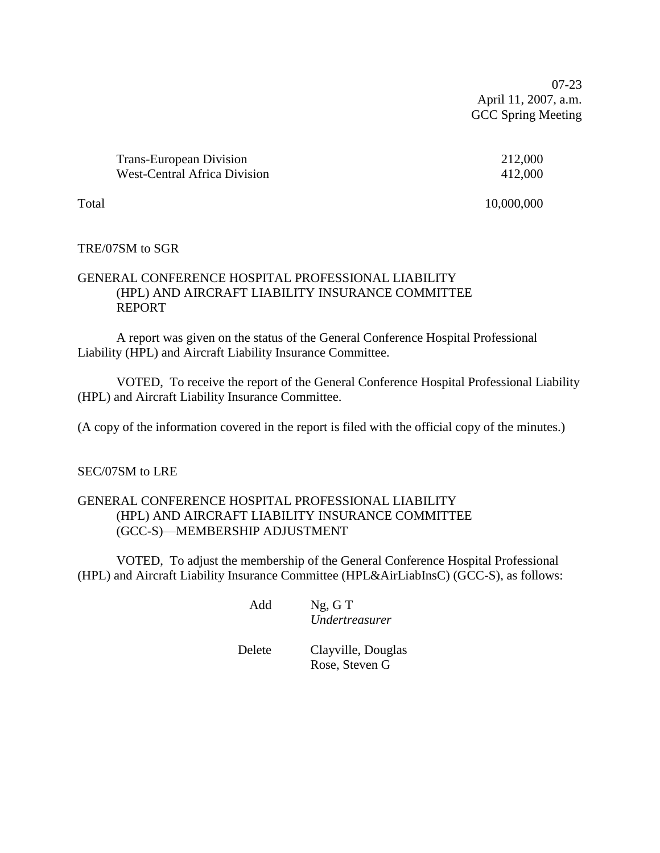07-23 April 11, 2007, a.m. GCC Spring Meeting

| <b>Trans-European Division</b>      | 212,000 |
|-------------------------------------|---------|
| <b>West-Central Africa Division</b> | 412,000 |

Total 10,000,000

# TRE/07SM to SGR

# GENERAL CONFERENCE HOSPITAL PROFESSIONAL LIABILITY (HPL) AND AIRCRAFT LIABILITY INSURANCE COMMITTEE REPORT

A report was given on the status of the General Conference Hospital Professional Liability (HPL) and Aircraft Liability Insurance Committee.

VOTED, To receive the report of the General Conference Hospital Professional Liability (HPL) and Aircraft Liability Insurance Committee.

(A copy of the information covered in the report is filed with the official copy of the minutes.)

## SEC/07SM to LRE

# GENERAL CONFERENCE HOSPITAL PROFESSIONAL LIABILITY (HPL) AND AIRCRAFT LIABILITY INSURANCE COMMITTEE (GCC-S)—MEMBERSHIP ADJUSTMENT

VOTED, To adjust the membership of the General Conference Hospital Professional (HPL) and Aircraft Liability Insurance Committee (HPL&AirLiabInsC) (GCC-S), as follows:

> Add Ng, G T *Undertreasurer*

Delete Clayville, Douglas Rose, Steven G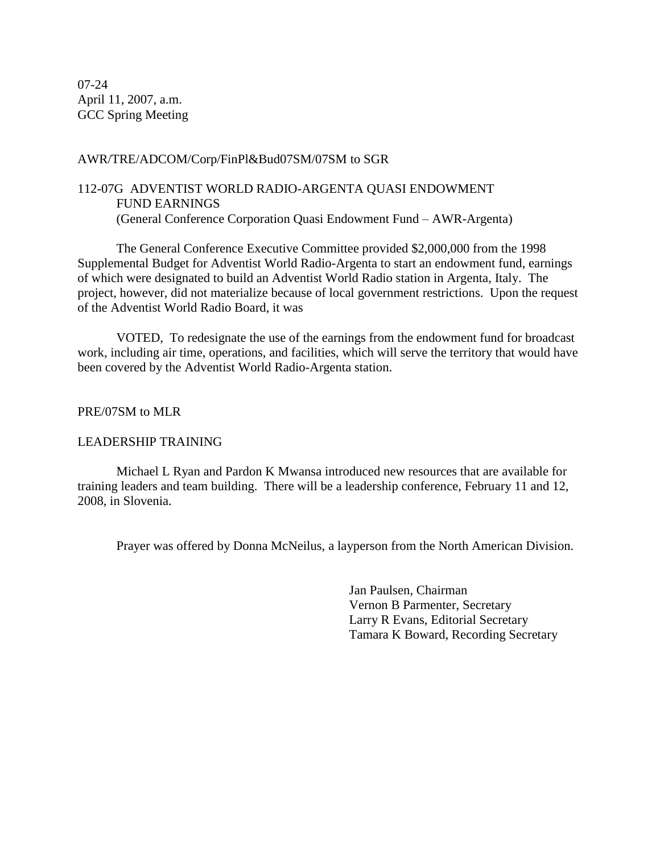07-24 April 11, 2007, a.m. GCC Spring Meeting

## AWR/TRE/ADCOM/Corp/FinPl&Bud07SM/07SM to SGR

# 112-07G ADVENTIST WORLD RADIO-ARGENTA QUASI ENDOWMENT FUND EARNINGS (General Conference Corporation Quasi Endowment Fund – AWR-Argenta)

The General Conference Executive Committee provided \$2,000,000 from the 1998 Supplemental Budget for Adventist World Radio-Argenta to start an endowment fund, earnings of which were designated to build an Adventist World Radio station in Argenta, Italy. The project, however, did not materialize because of local government restrictions. Upon the request of the Adventist World Radio Board, it was

VOTED, To redesignate the use of the earnings from the endowment fund for broadcast work, including air time, operations, and facilities, which will serve the territory that would have been covered by the Adventist World Radio-Argenta station.

# PRE/07SM to MLR

## LEADERSHIP TRAINING

Michael L Ryan and Pardon K Mwansa introduced new resources that are available for training leaders and team building. There will be a leadership conference, February 11 and 12, 2008, in Slovenia.

Prayer was offered by Donna McNeilus, a layperson from the North American Division.

Jan Paulsen, Chairman Vernon B Parmenter, Secretary Larry R Evans, Editorial Secretary Tamara K Boward, Recording Secretary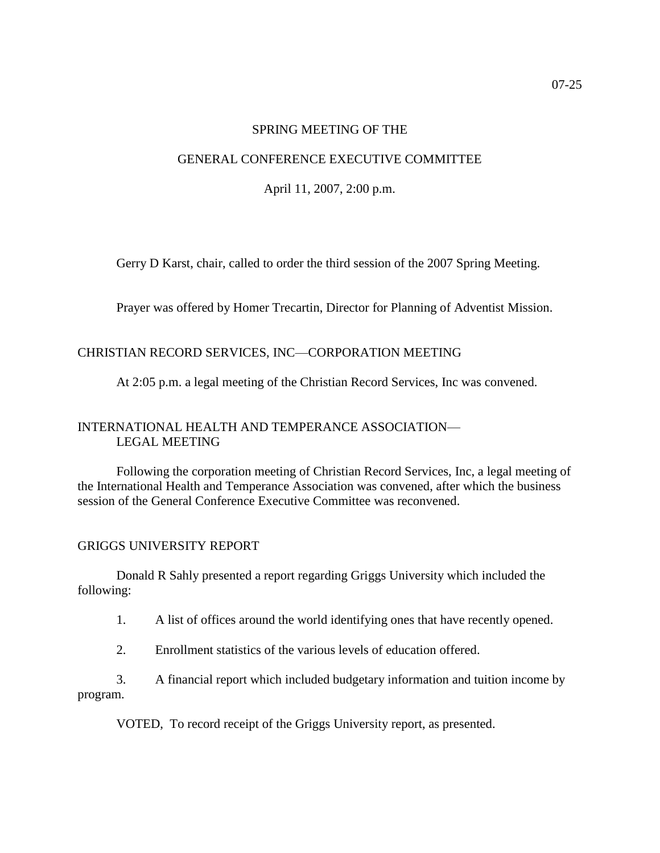#### SPRING MEETING OF THE

#### GENERAL CONFERENCE EXECUTIVE COMMITTEE

April 11, 2007, 2:00 p.m.

Gerry D Karst, chair, called to order the third session of the 2007 Spring Meeting.

Prayer was offered by Homer Trecartin, Director for Planning of Adventist Mission.

# CHRISTIAN RECORD SERVICES, INC—CORPORATION MEETING

At 2:05 p.m. a legal meeting of the Christian Record Services, Inc was convened.

# INTERNATIONAL HEALTH AND TEMPERANCE ASSOCIATION— LEGAL MEETING

Following the corporation meeting of Christian Record Services, Inc, a legal meeting of the International Health and Temperance Association was convened, after which the business session of the General Conference Executive Committee was reconvened.

#### GRIGGS UNIVERSITY REPORT

Donald R Sahly presented a report regarding Griggs University which included the following:

1. A list of offices around the world identifying ones that have recently opened.

2. Enrollment statistics of the various levels of education offered.

3. A financial report which included budgetary information and tuition income by program.

VOTED, To record receipt of the Griggs University report, as presented.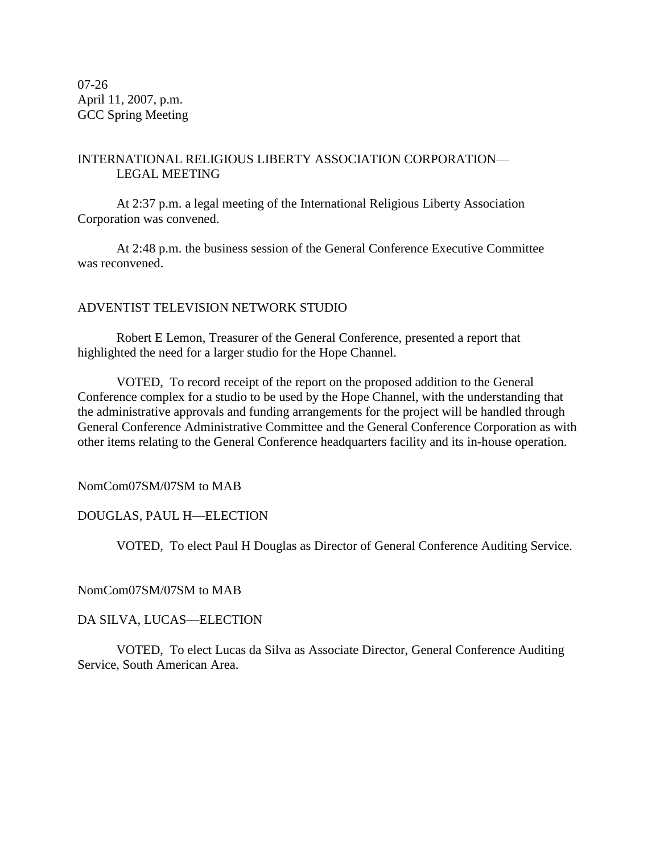07-26 April 11, 2007, p.m. GCC Spring Meeting

# INTERNATIONAL RELIGIOUS LIBERTY ASSOCIATION CORPORATION— LEGAL MEETING

At 2:37 p.m. a legal meeting of the International Religious Liberty Association Corporation was convened.

At 2:48 p.m. the business session of the General Conference Executive Committee was reconvened.

# ADVENTIST TELEVISION NETWORK STUDIO

Robert E Lemon, Treasurer of the General Conference, presented a report that highlighted the need for a larger studio for the Hope Channel.

VOTED, To record receipt of the report on the proposed addition to the General Conference complex for a studio to be used by the Hope Channel, with the understanding that the administrative approvals and funding arrangements for the project will be handled through General Conference Administrative Committee and the General Conference Corporation as with other items relating to the General Conference headquarters facility and its in-house operation.

NomCom07SM/07SM to MAB

## DOUGLAS, PAUL H—ELECTION

VOTED, To elect Paul H Douglas as Director of General Conference Auditing Service.

NomCom07SM/07SM to MAB

DA SILVA, LUCAS—ELECTION

VOTED, To elect Lucas da Silva as Associate Director, General Conference Auditing Service, South American Area.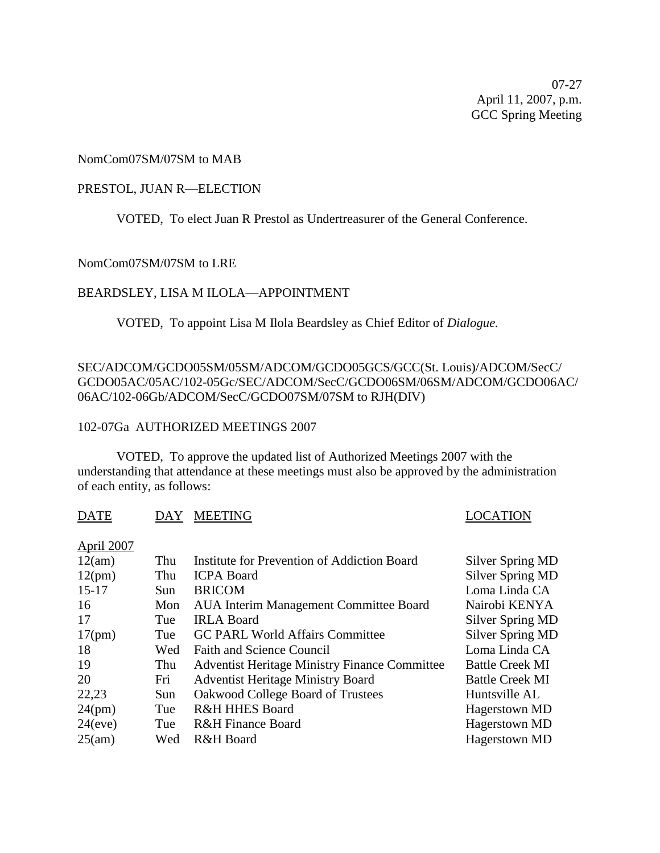07-27 April 11, 2007, p.m. GCC Spring Meeting

#### NomCom07SM/07SM to MAB

#### PRESTOL, JUAN R—ELECTION

VOTED, To elect Juan R Prestol as Undertreasurer of the General Conference.

NomCom07SM/07SM to LRE

#### BEARDSLEY, LISA M ILOLA—APPOINTMENT

VOTED, To appoint Lisa M Ilola Beardsley as Chief Editor of *Dialogue.*

# SEC/ADCOM/GCDO05SM/05SM/ADCOM/GCDO05GCS/GCC(St. Louis)/ADCOM/SecC/ GCDO05AC/05AC/102-05Gc/SEC/ADCOM/SecC/GCDO06SM/06SM/ADCOM/GCDO06AC/ 06AC/102-06Gb/ADCOM/SecC/GCDO07SM/07SM to RJH(DIV)

#### 102-07Ga AUTHORIZED MEETINGS 2007

VOTED, To approve the updated list of Authorized Meetings 2007 with the understanding that attendance at these meetings must also be approved by the administration of each entity, as follows:

DATE DAY MEETING LOCATION

#### April 2007

| 12(am)  | Thu | Institute for Prevention of Addiction Board          | Silver Spring MD       |
|---------|-----|------------------------------------------------------|------------------------|
| 12(pm)  | Thu | <b>ICPA Board</b>                                    | Silver Spring MD       |
| $15-17$ | Sun | <b>BRICOM</b>                                        | Loma Linda CA          |
| 16      | Mon | <b>AUA Interim Management Committee Board</b>        | Nairobi KENYA          |
| 17      | Tue | <b>IRLA Board</b>                                    | Silver Spring MD       |
| 17(pm)  | Tue | <b>GC PARL World Affairs Committee</b>               | Silver Spring MD       |
| 18      | Wed | <b>Faith and Science Council</b>                     | Loma Linda CA          |
| 19      | Thu | <b>Adventist Heritage Ministry Finance Committee</b> | <b>Battle Creek MI</b> |
| 20      | Fri | <b>Adventist Heritage Ministry Board</b>             | <b>Battle Creek MI</b> |
| 22,23   | Sun | Oakwood College Board of Trustees                    | Huntsville AL          |
| 24(pm)  | Tue | <b>R&amp;H HHES Board</b>                            | Hagerstown MD          |
| 24(eve) | Tue | <b>R&amp;H</b> Finance Board                         | Hagerstown MD          |
| 25(am)  | Wed | R&H Board                                            | Hagerstown MD          |
|         |     |                                                      |                        |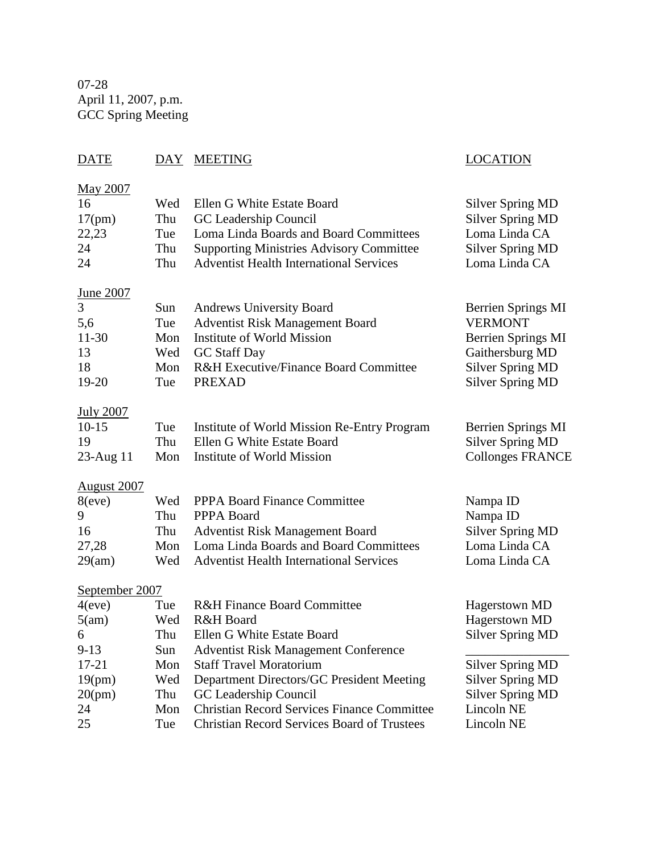07-28 April 11, 2007, p.m. GCC Spring Meeting

| DAY                                                                           | <b>MEETING</b>                                                                                                                                                                                                                                                                                                                            | <b>LOCATION</b>                                                                                                                                                        |
|-------------------------------------------------------------------------------|-------------------------------------------------------------------------------------------------------------------------------------------------------------------------------------------------------------------------------------------------------------------------------------------------------------------------------------------|------------------------------------------------------------------------------------------------------------------------------------------------------------------------|
| Wed                                                                           | Ellen G White Estate Board                                                                                                                                                                                                                                                                                                                | <b>Silver Spring MD</b>                                                                                                                                                |
| Thu                                                                           | GC Leadership Council                                                                                                                                                                                                                                                                                                                     | <b>Silver Spring MD</b>                                                                                                                                                |
| Tue                                                                           | Loma Linda Boards and Board Committees                                                                                                                                                                                                                                                                                                    | Loma Linda CA                                                                                                                                                          |
| Thu                                                                           | <b>Supporting Ministries Advisory Committee</b>                                                                                                                                                                                                                                                                                           | <b>Silver Spring MD</b>                                                                                                                                                |
| Thu                                                                           | <b>Adventist Health International Services</b>                                                                                                                                                                                                                                                                                            | Loma Linda CA                                                                                                                                                          |
| Sun                                                                           | <b>Andrews University Board</b>                                                                                                                                                                                                                                                                                                           | Berrien Springs MI                                                                                                                                                     |
| Tue                                                                           | <b>Adventist Risk Management Board</b>                                                                                                                                                                                                                                                                                                    | <b>VERMONT</b>                                                                                                                                                         |
| Mon                                                                           | Institute of World Mission                                                                                                                                                                                                                                                                                                                | <b>Berrien Springs MI</b>                                                                                                                                              |
| Wed                                                                           | <b>GC</b> Staff Day                                                                                                                                                                                                                                                                                                                       | Gaithersburg MD                                                                                                                                                        |
| Mon                                                                           | <b>R&amp;H Executive/Finance Board Committee</b>                                                                                                                                                                                                                                                                                          | <b>Silver Spring MD</b>                                                                                                                                                |
| Tue                                                                           | <b>PREXAD</b>                                                                                                                                                                                                                                                                                                                             | <b>Silver Spring MD</b>                                                                                                                                                |
| Tue                                                                           | Institute of World Mission Re-Entry Program                                                                                                                                                                                                                                                                                               | Berrien Springs MI                                                                                                                                                     |
| Thu                                                                           | Ellen G White Estate Board                                                                                                                                                                                                                                                                                                                | <b>Silver Spring MD</b>                                                                                                                                                |
| Mon                                                                           | Institute of World Mission                                                                                                                                                                                                                                                                                                                | <b>Collonges FRANCE</b>                                                                                                                                                |
| Wed                                                                           | <b>PPPA Board Finance Committee</b>                                                                                                                                                                                                                                                                                                       | Nampa ID                                                                                                                                                               |
| Thu                                                                           | PPPA Board                                                                                                                                                                                                                                                                                                                                | Nampa ID                                                                                                                                                               |
| Thu                                                                           | <b>Adventist Risk Management Board</b>                                                                                                                                                                                                                                                                                                    | <b>Silver Spring MD</b>                                                                                                                                                |
| Mon                                                                           | Loma Linda Boards and Board Committees                                                                                                                                                                                                                                                                                                    | Loma Linda CA                                                                                                                                                          |
| Wed                                                                           | <b>Adventist Health International Services</b>                                                                                                                                                                                                                                                                                            | Loma Linda CA                                                                                                                                                          |
| September 2007<br>Tue<br>Wed<br>Thu<br>Sun<br>Mon<br>Wed<br>Thu<br>Mon<br>Tue | R&H Finance Board Committee<br>R&H Board<br>Ellen G White Estate Board<br><b>Adventist Risk Management Conference</b><br><b>Staff Travel Moratorium</b><br>Department Directors/GC President Meeting<br>GC Leadership Council<br><b>Christian Record Services Finance Committee</b><br><b>Christian Record Services Board of Trustees</b> | Hagerstown MD<br>Hagerstown MD<br><b>Silver Spring MD</b><br><b>Silver Spring MD</b><br><b>Silver Spring MD</b><br><b>Silver Spring MD</b><br>Lincoln NE<br>Lincoln NE |
|                                                                               |                                                                                                                                                                                                                                                                                                                                           |                                                                                                                                                                        |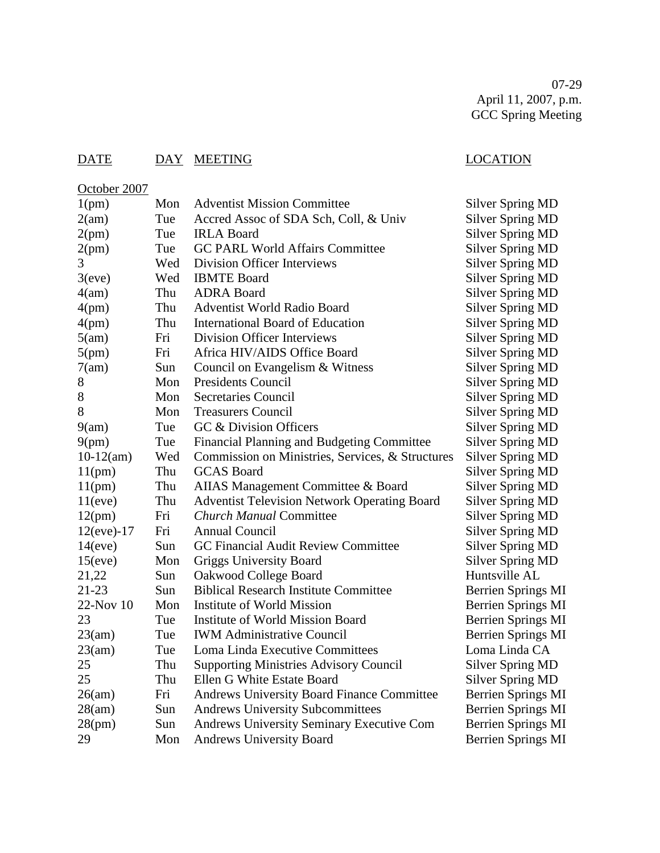07-29 April 11, 2007, p.m. GCC Spring Meeting

# DATE DAY MEETING LOCATION

October 2007

1(pm) Mon Adventist Mission Committee Silver Spring MD 2(am) Tue Accred Assoc of SDA Sch, Coll, & Univ Silver Spring MD 2(pm) Tue IRLA Board Silver Spring MD 2(pm) Tue GC PARL World Affairs Committee Silver Spring MD 3 Wed Division Officer Interviews Silver Spring MD 3(eve) Wed IBMTE Board Silver Spring MD 4(am) Thu ADRA Board Silver Spring MD 4(pm) Thu Adventist World Radio Board Silver Spring MD 4(pm) Thu International Board of Education Silver Spring MD 5(am) Fri Division Officer Interviews Silver Spring MD 5(pm) Fri Africa HIV/AIDS Office Board Silver Spring MD 7(am) Sun Council on Evangelism & Witness Silver Spring MD 8 Mon Presidents Council Silver Spring MD 8 Mon Secretaries Council Silver Spring MD 8 Mon Treasurers Council Silver Spring MD 9(am) Tue GC & Division Officers Silver Spring MD 9(pm) Tue Financial Planning and Budgeting Committee Silver Spring MD 10-12(am) Wed Commission on Ministries, Services, & Structures Silver Spring MD 11(pm) Thu GCAS Board Silver Spring MD 11(pm) Thu AIIAS Management Committee & Board Silver Spring MD 11(eve) Thu Adventist Television Network Operating Board Silver Spring MD 12(pm) Fri *Church Manual* Committee Silver Spring MD 12(eve)-17 Fri Annual Council Silver Spring MD 14(eve) Sun GC Financial Audit Review Committee Silver Spring MD 15(eve) Mon Griggs University Board Silver Spring MD 21,22 Sun Oakwood College Board **Huntsville AL** 21-23 Sun Biblical Research Institute Committee Berrien Springs MI 22-Nov 10 Mon Institute of World Mission Berrien Springs MI 23 Tue Institute of World Mission Board Berrien Springs MI 23(am) Tue IWM Administrative Council Berrien Springs MI 23(am) Tue Loma Linda Executive Committees Loma Linda CA 25 Thu Supporting Ministries Advisory Council Silver Spring MD 25 Thu Ellen G White Estate Board Silver Spring MD 26(am) Fri Andrews University Board Finance Committee Berrien Springs MI 28(am) Sun Andrews University Subcommittees Berrien Springs MI 28(pm) Sun Andrews University Seminary Executive Com Berrien Springs MI 29 Mon Andrews University Board Berrien Springs MI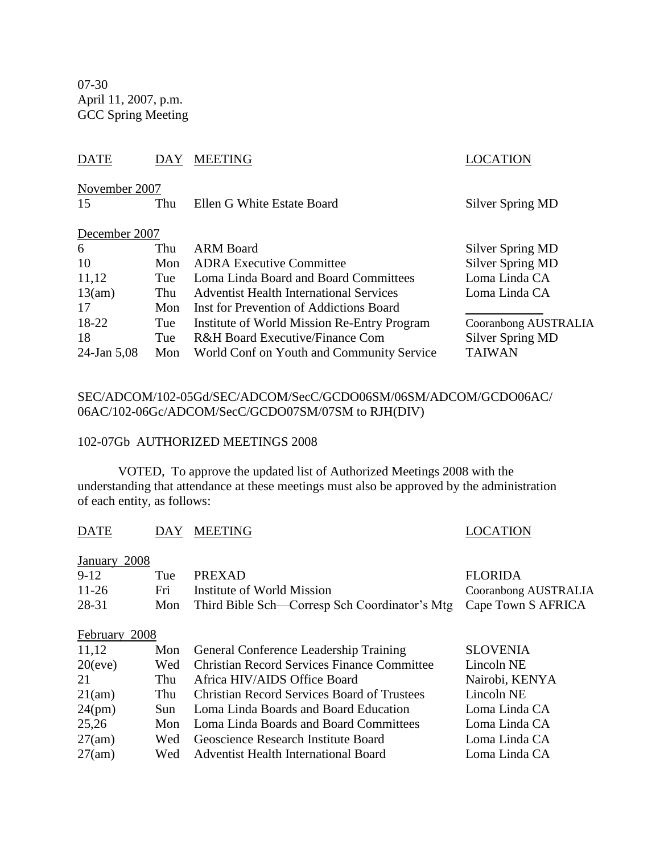07-30 April 11, 2007, p.m. GCC Spring Meeting

# DATE DAY MEETING SERVESTEED DAY AND DESCRIPTION

| November 2007  |     |                                                |                      |
|----------------|-----|------------------------------------------------|----------------------|
| 15             | Thu | Ellen G White Estate Board                     | Silver Spring MD     |
| December 2007  |     |                                                |                      |
| 6              | Thu | <b>ARM Board</b>                               | Silver Spring MD     |
| 10             | Mon | <b>ADRA Executive Committee</b>                | Silver Spring MD     |
| 11,12          | Tue | Loma Linda Board and Board Committees          | Loma Linda CA        |
| 13(am)         | Thu | <b>Adventist Health International Services</b> | Loma Linda CA        |
| 17             | Mon | Inst for Prevention of Addictions Board        |                      |
| 18-22          | Tue | Institute of World Mission Re-Entry Program    | Cooranbong AUSTRALIA |
| 18             | Tue | R&H Board Executive/Finance Com                | Silver Spring MD     |
| $24$ -Jan 5,08 | Mon | World Conf on Youth and Community Service      | <b>TAIWAN</b>        |

# SEC/ADCOM/102-05Gd/SEC/ADCOM/SecC/GCDO06SM/06SM/ADCOM/GCDO06AC/ 06AC/102-06Gc/ADCOM/SecC/GCDO07SM/07SM to RJH(DIV)

#### 102-07Gb AUTHORIZED MEETINGS 2008

VOTED, To approve the updated list of Authorized Meetings 2008 with the understanding that attendance at these meetings must also be approved by the administration of each entity, as follows:

| DATE                    | <b>DAY</b>   | <b>MEETING</b>                                        | <b>LOCATION</b>             |
|-------------------------|--------------|-------------------------------------------------------|-----------------------------|
| January 2008            |              |                                                       |                             |
| $9-12$                  | Tue          | <b>PREXAD</b>                                         | <b>FLORIDA</b>              |
| 11-26                   | Fri          | Institute of World Mission                            | <b>Cooranbong AUSTRALIA</b> |
| 28-31                   | Mon          | Third Bible Sch—Corresp Sch Coordinator's Mtg         | Cape Town S AFRICA          |
| February 2008           |              |                                                       |                             |
| 11,12                   | Mon          | General Conference Leadership Training                | <b>SLOVENIA</b>             |
| $\mathbf{a} \mathbf{a}$ | $\mathbf{v}$ | $\alpha$ $\alpha$ $\alpha$ $\alpha$ $\alpha$ $\alpha$ |                             |

| 11,12     |      | Mon General Conference Leadership Training         | SLOVENIA       |
|-----------|------|----------------------------------------------------|----------------|
| 20(eve)   | Wed  | <b>Christian Record Services Finance Committee</b> | Lincoln NE     |
| 21        | Thu  | Africa HIV/AIDS Office Board                       | Nairobi, KENYA |
| 21(am)    | Thu  | <b>Christian Record Services Board of Trustees</b> | Lincoln NE     |
| $24$ (pm) | Sun. | Loma Linda Boards and Board Education              | Loma Linda CA  |
| 25,26     |      | Mon Loma Linda Boards and Board Committees         | Loma Linda CA  |
| 27(am)    | Wed  | Geoscience Research Institute Board                | Loma Linda CA  |
| 27(am)    |      | Wed Adventist Health International Board           | Loma Linda CA  |
|           |      |                                                    |                |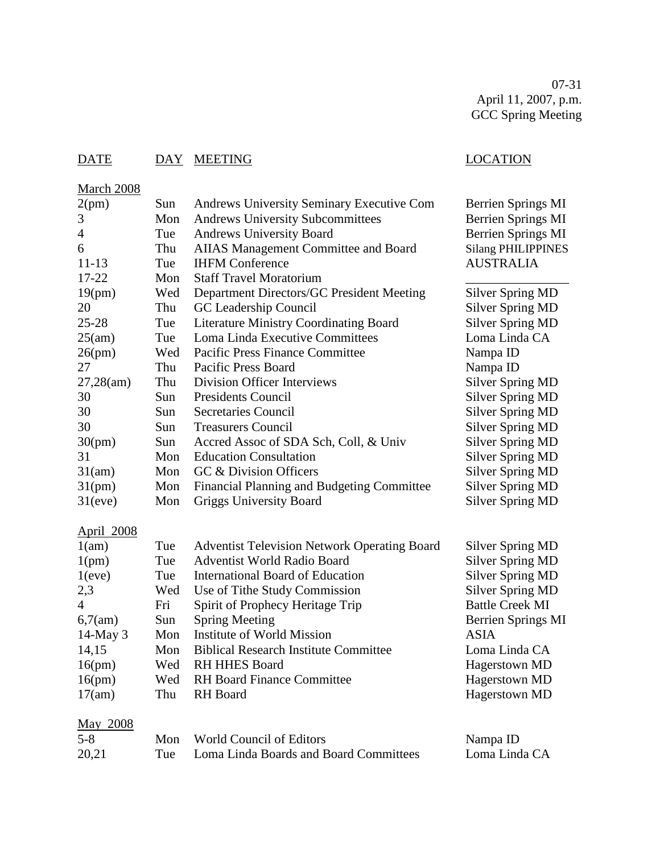07-31 April 11, 2007, p.m. GCC Spring Meeting

# DATE DAY MEETING LOCATION

# **March 2008**

| 2(pm)             | Sun | <b>Andrews University Seminary Executive Com</b>    | <b>Berrien Springs MI</b> |
|-------------------|-----|-----------------------------------------------------|---------------------------|
| 3                 | Mon | <b>Andrews University Subcommittees</b>             | Berrien Springs MI        |
| $\overline{4}$    | Tue | <b>Andrews University Board</b>                     | <b>Berrien Springs MI</b> |
| 6                 | Thu | <b>AIIAS Management Committee and Board</b>         | <b>Silang PHILIPPINES</b> |
| $11 - 13$         | Tue | <b>IHFM Conference</b>                              | <b>AUSTRALIA</b>          |
| 17-22             | Mon | <b>Staff Travel Moratorium</b>                      |                           |
| 19(pm)            | Wed | Department Directors/GC President Meeting           | <b>Silver Spring MD</b>   |
| 20                | Thu | GC Leadership Council                               | <b>Silver Spring MD</b>   |
| $25 - 28$         | Tue | <b>Literature Ministry Coordinating Board</b>       | <b>Silver Spring MD</b>   |
| 25(am)            | Tue | Loma Linda Executive Committees                     | Loma Linda CA             |
| 26(pm)            | Wed | Pacific Press Finance Committee                     | Nampa ID                  |
| 27                | Thu | Pacific Press Board                                 | Nampa ID                  |
| 27,28(am)         | Thu | <b>Division Officer Interviews</b>                  | <b>Silver Spring MD</b>   |
| 30                | Sun | Presidents Council                                  | <b>Silver Spring MD</b>   |
| 30                | Sun | <b>Secretaries Council</b>                          | <b>Silver Spring MD</b>   |
| 30                | Sun | <b>Treasurers Council</b>                           | <b>Silver Spring MD</b>   |
| 30(pm)            | Sun | Accred Assoc of SDA Sch, Coll, & Univ               | <b>Silver Spring MD</b>   |
| 31                | Mon | <b>Education Consultation</b>                       | <b>Silver Spring MD</b>   |
| 31(am)            | Mon | GC & Division Officers                              | <b>Silver Spring MD</b>   |
| $31$ (pm)         | Mon | Financial Planning and Budgeting Committee          | <b>Silver Spring MD</b>   |
| 31(eve)           | Mon | <b>Griggs University Board</b>                      | <b>Silver Spring MD</b>   |
| <b>April 2008</b> |     |                                                     |                           |
| 1(am)             | Tue | <b>Adventist Television Network Operating Board</b> | <b>Silver Spring MD</b>   |
| 1(pm)             | Tue | <b>Adventist World Radio Board</b>                  | <b>Silver Spring MD</b>   |
| 1(eve)            | Tue | <b>International Board of Education</b>             | <b>Silver Spring MD</b>   |
| 2,3               | Wed | Use of Tithe Study Commission                       | <b>Silver Spring MD</b>   |
| $\overline{4}$    | Fri | Spirit of Prophecy Heritage Trip                    | <b>Battle Creek MI</b>    |
| 6,7(am)           | Sun | <b>Spring Meeting</b>                               | <b>Berrien Springs MI</b> |
| 14-May 3          | Mon | Institute of World Mission                          | <b>ASIA</b>               |
| 14,15             | Mon | <b>Biblical Research Institute Committee</b>        | Loma Linda CA             |
| 16(pm)            | Wed | <b>RH HHES Board</b>                                | Hagerstown MD             |
| 16(pm)            | Wed | <b>RH</b> Board Finance Committee                   | <b>Hagerstown MD</b>      |
| 17(am)            | Thu | <b>RH</b> Board                                     | Hagerstown MD             |
| May 2008          |     |                                                     |                           |

| $5 - 8$ | Mon World Council of Editors               | Nampa ID      |
|---------|--------------------------------------------|---------------|
| 20,21   | Tue Loma Linda Boards and Board Committees | Loma Linda CA |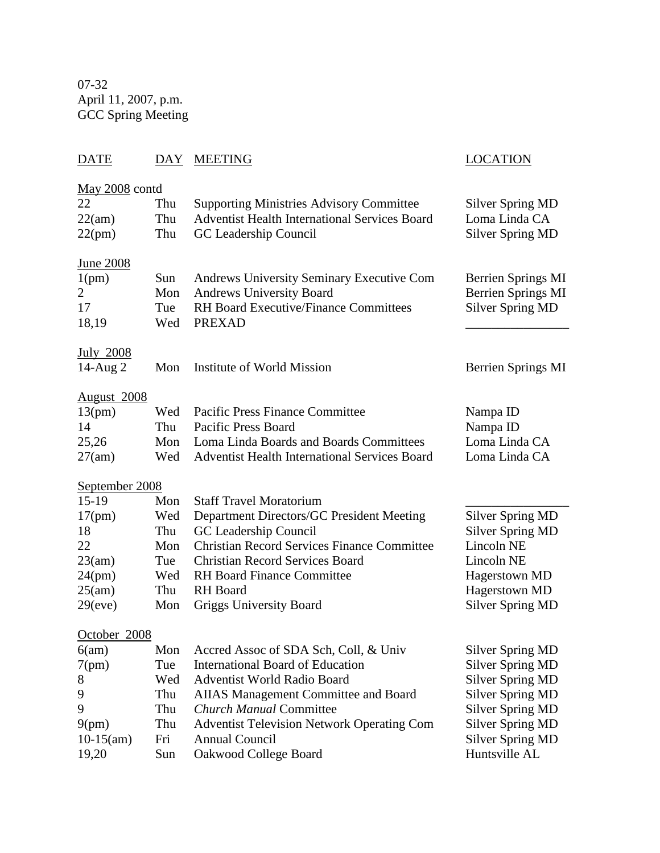07-32 April 11, 2007, p.m. GCC Spring Meeting

# DATE DAY MEETING DATE LOCATION

| May 2008 contd<br>22<br>22(am)<br>22(pm)              | Thu<br>Thu<br>Thu        | <b>Supporting Ministries Advisory Committee</b><br><b>Adventist Health International Services Board</b><br>GC Leadership Council                                        | <b>Silver Spring MD</b><br>Loma Linda CA<br><b>Silver Spring MD</b> |
|-------------------------------------------------------|--------------------------|-------------------------------------------------------------------------------------------------------------------------------------------------------------------------|---------------------------------------------------------------------|
| <u>June 2008</u><br>1(pm)<br>2<br>17<br>18,19         | Sun<br>Mon<br>Tue<br>Wed | <b>Andrews University Seminary Executive Com</b><br><b>Andrews University Board</b><br><b>RH Board Executive/Finance Committees</b><br><b>PREXAD</b>                    | Berrien Springs MI<br>Berrien Springs MI<br><b>Silver Spring MD</b> |
| <b>July 2008</b><br>$14$ -Aug $2$                     | Mon                      | Institute of World Mission                                                                                                                                              | Berrien Springs MI                                                  |
| <b>August</b> 2008<br>13(pm)<br>14<br>25,26<br>27(am) | Wed<br>Thu<br>Mon<br>Wed | <b>Pacific Press Finance Committee</b><br><b>Pacific Press Board</b><br>Loma Linda Boards and Boards Committees<br><b>Adventist Health International Services Board</b> | Nampa ID<br>Nampa ID<br>Loma Linda CA<br>Loma Linda CA              |
| September 2008                                        |                          |                                                                                                                                                                         |                                                                     |
| $15-19$                                               | Mon                      | <b>Staff Travel Moratorium</b>                                                                                                                                          |                                                                     |
| 17(pm)                                                | Wed                      | Department Directors/GC President Meeting                                                                                                                               | <b>Silver Spring MD</b>                                             |
| 18                                                    | Thu                      | GC Leadership Council                                                                                                                                                   | <b>Silver Spring MD</b>                                             |
| 22                                                    | Mon                      | <b>Christian Record Services Finance Committee</b>                                                                                                                      | Lincoln NE                                                          |
| 23(am)                                                | Tue                      | <b>Christian Record Services Board</b>                                                                                                                                  | Lincoln NE                                                          |
| 24(pm)                                                | Wed                      | <b>RH</b> Board Finance Committee                                                                                                                                       | Hagerstown MD                                                       |
| 25(am)                                                | Thu                      | <b>RH</b> Board                                                                                                                                                         | Hagerstown MD                                                       |
| 29(eve)                                               | Mon                      | <b>Griggs University Board</b>                                                                                                                                          | <b>Silver Spring MD</b>                                             |
| October 2008                                          |                          |                                                                                                                                                                         |                                                                     |
| 6(am)                                                 | Mon                      | Accred Assoc of SDA Sch, Coll, & Univ                                                                                                                                   | <b>Silver Spring MD</b>                                             |
| 7(pm)                                                 | Tue                      | <b>International Board of Education</b>                                                                                                                                 | <b>Silver Spring MD</b>                                             |
| 8                                                     | Wed                      | Adventist World Radio Board                                                                                                                                             | <b>Silver Spring MD</b>                                             |
| 9                                                     | Thu                      | <b>AIIAS Management Committee and Board</b>                                                                                                                             | <b>Silver Spring MD</b>                                             |
| 9                                                     | Thu                      | <b>Church Manual Committee</b>                                                                                                                                          | <b>Silver Spring MD</b>                                             |
| 9(pm)                                                 | Thu                      | <b>Adventist Television Network Operating Com</b>                                                                                                                       | <b>Silver Spring MD</b>                                             |
| $10-15(am)$                                           | Fri                      | <b>Annual Council</b>                                                                                                                                                   | <b>Silver Spring MD</b>                                             |
| 19,20                                                 | Sun                      | Oakwood College Board                                                                                                                                                   | Huntsville AL                                                       |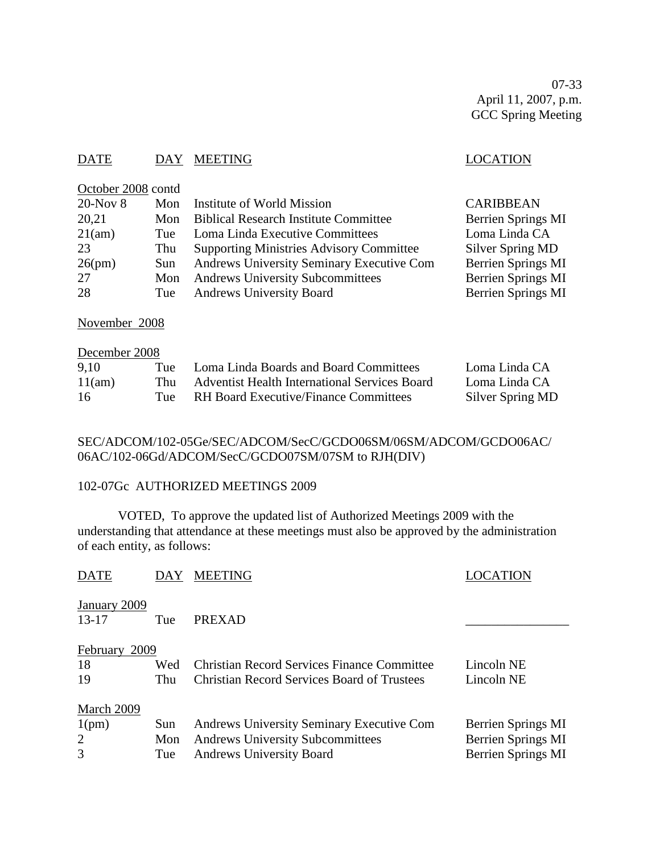07-33 April 11, 2007, p.m. GCC Spring Meeting

# DATE DAY MEETING DATE LOCATION

| LUUNIUI |
|---------|
|         |
|         |
|         |
|         |

| $20$ -Nov $8$ | Mon | Institute of World Mission                      | <b>CARIBBEAN</b>          |
|---------------|-----|-------------------------------------------------|---------------------------|
| 20,21         | Mon | <b>Biblical Research Institute Committee</b>    | <b>Berrien Springs MI</b> |
| 21(am)        | Tue | Loma Linda Executive Committees                 | Loma Linda CA             |
| 23            | Thu | <b>Supporting Ministries Advisory Committee</b> | Silver Spring MD          |
| 26(pm)        | Sun | Andrews University Seminary Executive Com       | <b>Berrien Springs MI</b> |
| 27            | Mon | <b>Andrews University Subcommittees</b>         | <b>Berrien Springs MI</b> |
| 28            | Tue | <b>Andrews University Board</b>                 | <b>Berrien Springs MI</b> |
|               |     |                                                 |                           |

November 2008

October 2008 contd

# December 2008

| 9,10   | Tue   | Loma Linda Boards and Board Committees               | Loma Linda CA    |
|--------|-------|------------------------------------------------------|------------------|
| 11(am) | Thu - | <b>Adventist Health International Services Board</b> | Loma Linda CA    |
| -16    | Tne   | <b>RH</b> Board Executive/Finance Committees         | Silver Spring MD |

# SEC/ADCOM/102-05Ge/SEC/ADCOM/SecC/GCDO06SM/06SM/ADCOM/GCDO06AC/ 06AC/102-06Gd/ADCOM/SecC/GCDO07SM/07SM to RJH(DIV)

## 102-07Gc AUTHORIZED MEETINGS 2009

VOTED, To approve the updated list of Authorized Meetings 2009 with the understanding that attendance at these meetings must also be approved by the administration of each entity, as follows:

| <b>DATE</b>               | DAY | <b>MEETING</b>                                     |                    |
|---------------------------|-----|----------------------------------------------------|--------------------|
| January 2009<br>$13 - 17$ | Tue | <b>PREXAD</b>                                      |                    |
| February<br>2009          |     |                                                    |                    |
| 18                        | Wed | <b>Christian Record Services Finance Committee</b> | Lincoln NE         |
| 19                        | Thu | <b>Christian Record Services Board of Trustees</b> | Lincoln NE         |
| March 2009                |     |                                                    |                    |
| 1(pm)                     | Sun | Andrews University Seminary Executive Com          | Berrien Springs MI |
| 2                         | Mon | <b>Andrews University Subcommittees</b>            | Berrien Springs MI |
| 3                         | Tue | <b>Andrews University Board</b>                    | Berrien Springs MI |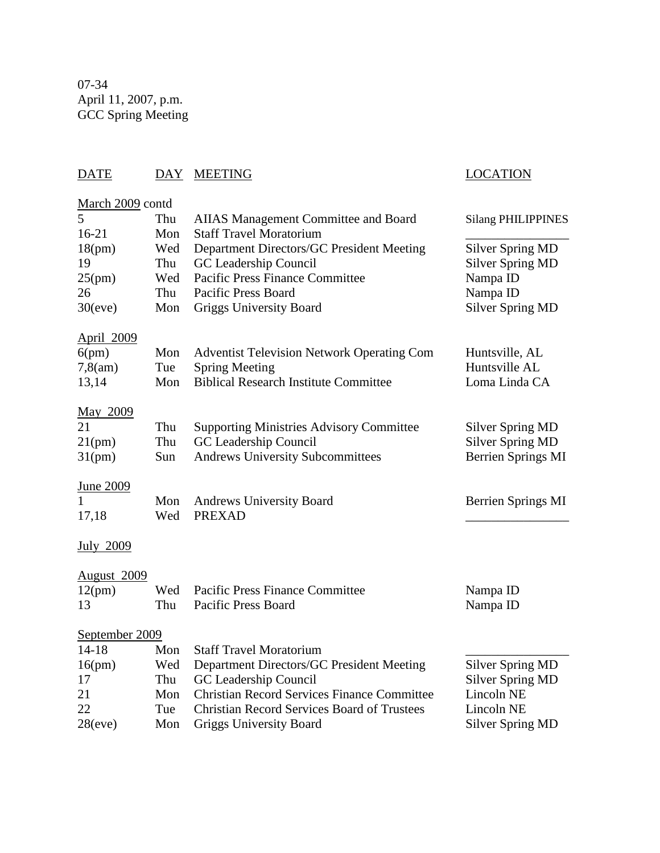07-34 April 11, 2007, p.m. GCC Spring Meeting

# DATE DAY MEETING LOCATION March 2009 contd 5 Thu AIIAS Management Committee and Board Silang PHILIPPINES 16-21 Mon Staff Travel Moratorium \_\_\_\_\_\_\_\_\_\_\_\_\_\_\_\_ 18(pm) Wed Department Directors/GC President Meeting Silver Spring MD 19 Thu GC Leadership Council Silver Spring MD 25(pm) Wed Pacific Press Finance Committee Nampa ID 26 Thu Pacific Press Board Nampa ID 30(eve) Mon Griggs University Board Silver Spring MD April 2009 6(pm) Mon Adventist Television Network Operating Com Huntsville, AL 7,8(am) Tue Spring Meeting Huntsville AL<br>13,14 Mon Biblical Research Institute Committee Loma Linda CA 13,14 Mon Biblical Research Institute Committee May 2009 21 Thu Supporting Ministries Advisory Committee Silver Spring MD 21(pm) Thu GC Leadership Council Silver Spring MD 31(pm) Sun Andrews University Subcommittees Berrien Springs MI June 2009 1 Mon Andrews University Board Berrien Springs MI 17,18 Wed PREXAD \_\_\_\_\_\_\_\_\_\_\_\_\_\_\_\_ July 2009 August 2009 12(pm) Wed Pacific Press Finance Committee Nampa ID 13 Thu Pacific Press Board Nampa ID September 2009

| $14 - 18$ |     | Mon Staff Travel Moratorium                        |                  |
|-----------|-----|----------------------------------------------------|------------------|
| 16(pm)    | Wed | Department Directors/GC President Meeting          | Silver Spring MD |
| 17        |     | Thu GC Leadership Council                          | Silver Spring MD |
| 21        |     | Mon Christian Record Services Finance Committee    | Lincoln NE       |
| 22        | Tue | <b>Christian Record Services Board of Trustees</b> | Lincoln NE       |
| 28(eve)   | Mon | <b>Griggs University Board</b>                     | Silver Spring MD |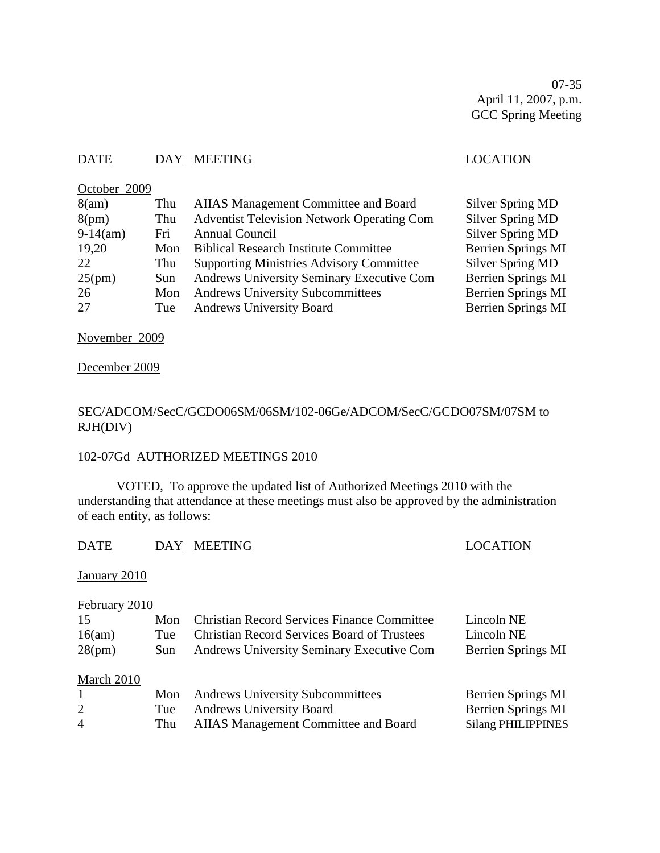07-35 April 11, 2007, p.m. GCC Spring Meeting

# DATE DAY MEETING DATE LOCATION

# October 2009

| 8(am)      | Thu  | AIIAS Management Committee and Board              | Silver Spring MD          |
|------------|------|---------------------------------------------------|---------------------------|
| 8(pm)      | Thu  | <b>Adventist Television Network Operating Com</b> | <b>Silver Spring MD</b>   |
| $9-14(am)$ | Fri  | Annual Council                                    | Silver Spring MD          |
| 19,20      | Mon  | <b>Biblical Research Institute Committee</b>      | Berrien Springs MI        |
| 22         | Thu  | <b>Supporting Ministries Advisory Committee</b>   | Silver Spring MD          |
| 25(pm)     | Sun. | Andrews University Seminary Executive Com         | <b>Berrien Springs MI</b> |
| 26         | Mon  | <b>Andrews University Subcommittees</b>           | <b>Berrien Springs MI</b> |
| 27         | Tue  | <b>Andrews University Board</b>                   | <b>Berrien Springs MI</b> |

November 2009

December 2009

# SEC/ADCOM/SecC/GCDO06SM/06SM/102-06Ge/ADCOM/SecC/GCDO07SM/07SM to RJH(DIV)

## 102-07Gd AUTHORIZED MEETINGS 2010

VOTED, To approve the updated list of Authorized Meetings 2010 with the understanding that attendance at these meetings must also be approved by the administration of each entity, as follows:

| <b>DATE</b> | DAY MEETING |
|-------------|-------------|
|             |             |

#### LOCATION

January 2010

# February 2010

| 15             | Mon  | <b>Christian Record Services Finance Committee</b> | Lincoln NE                |
|----------------|------|----------------------------------------------------|---------------------------|
| 16(am)         | Tue  | <b>Christian Record Services Board of Trustees</b> | Lincoln NE                |
| 28(pm)         | Sun. | Andrews University Seminary Executive Com          | Berrien Springs MI        |
|                |      |                                                    |                           |
| March 2010     |      |                                                    |                           |
| $\mathbf{1}$   | Mon  | <b>Andrews University Subcommittees</b>            | Berrien Springs MI        |
| 2              | Tue  | <b>Andrews University Board</b>                    | Berrien Springs MI        |
| $\overline{4}$ | Thu  | AIIAS Management Committee and Board               | <b>Silang PHILIPPINES</b> |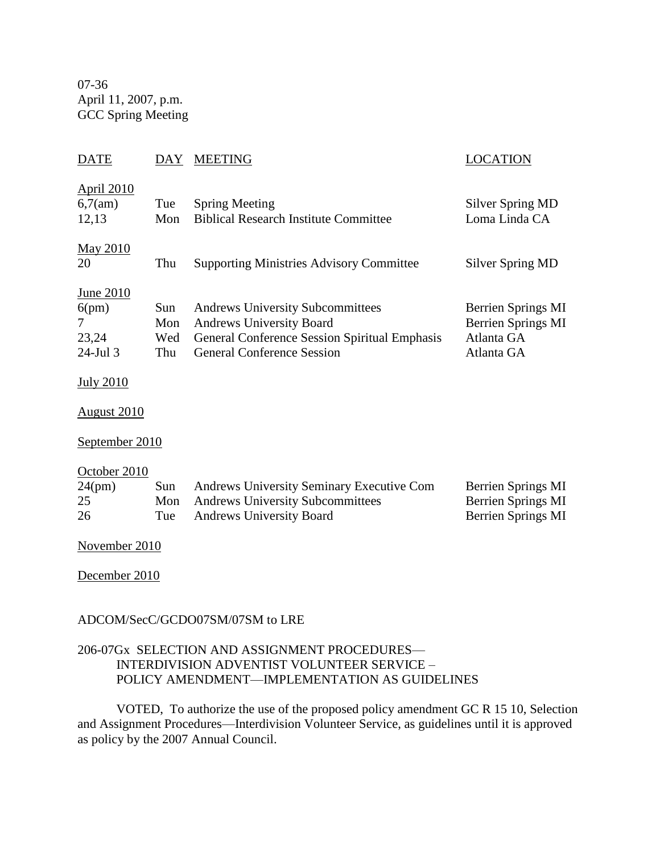07-36 April 11, 2007, p.m. GCC Spring Meeting

# DATE DAY MEETING LOCATION April 2010 6,7(am) Tue Spring Meeting Silver Spring MD 12,13 Mon Biblical Research Institute Committee Loma Linda CA May 2010 20 Thu Supporting Ministries Advisory Committee Silver Spring MD June 2010 6(pm) Sun Andrews University Subcommittees Berrien Springs MI 7 Mon Andrews University Board Berrien Springs MI 23,24 Wed General Conference Session Spiritual Emphasis Atlanta GA 24-Jul 3 Thu General Conference Session Atlanta GA July 2010 August 2010 September 2010 October 2010 24(pm) Sun Andrews University Seminary Executive Com Berrien Springs MI 25 Mon Andrews University Subcommittees Berrien Springs MI 26 Tue Andrews University Board Berrien Springs MI November 2010 December 2010 ADCOM/SecC/GCDO07SM/07SM to LRE

# 206-07Gx SELECTION AND ASSIGNMENT PROCEDURES— INTERDIVISION ADVENTIST VOLUNTEER SERVICE – POLICY AMENDMENT—IMPLEMENTATION AS GUIDELINES

VOTED, To authorize the use of the proposed policy amendment GC R 15 10, Selection and Assignment Procedures—Interdivision Volunteer Service, as guidelines until it is approved as policy by the 2007 Annual Council.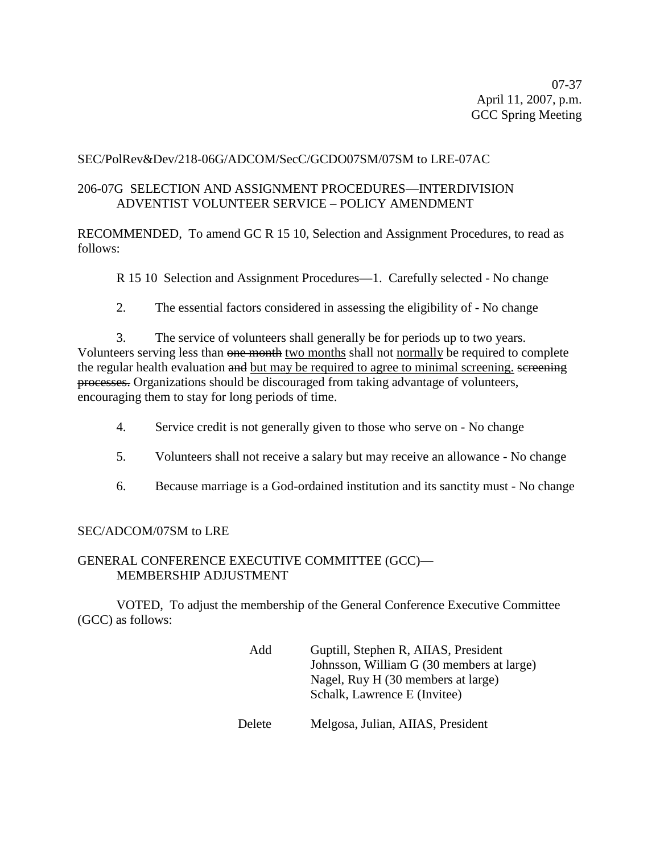07-37 April 11, 2007, p.m. GCC Spring Meeting

# SEC/PolRev&Dev/218-06G/ADCOM/SecC/GCDO07SM/07SM to LRE-07AC

# 206-07G SELECTION AND ASSIGNMENT PROCEDURES—INTERDIVISION ADVENTIST VOLUNTEER SERVICE – POLICY AMENDMENT

RECOMMENDED, To amend GC R 15 10, Selection and Assignment Procedures, to read as follows:

R 15 10 Selection and Assignment Procedures**—**1. Carefully selected - No change

2. The essential factors considered in assessing the eligibility of - No change

3. The service of volunteers shall generally be for periods up to two years. Volunteers serving less than one month two months shall not normally be required to complete the regular health evaluation and but may be required to agree to minimal screening. screening processes. Organizations should be discouraged from taking advantage of volunteers, encouraging them to stay for long periods of time.

- 4. Service credit is not generally given to those who serve on No change
- 5. Volunteers shall not receive a salary but may receive an allowance No change
- 6. Because marriage is a God-ordained institution and its sanctity must No change

## SEC/ADCOM/07SM to LRE

# GENERAL CONFERENCE EXECUTIVE COMMITTEE (GCC)— MEMBERSHIP ADJUSTMENT

VOTED, To adjust the membership of the General Conference Executive Committee (GCC) as follows:

| Add    | Guptill, Stephen R, AIIAS, President<br>Johnsson, William G (30 members at large)<br>Nagel, Ruy H (30 members at large) |
|--------|-------------------------------------------------------------------------------------------------------------------------|
| Delete | Schalk, Lawrence E (Invitee)<br>Melgosa, Julian, AIIAS, President                                                       |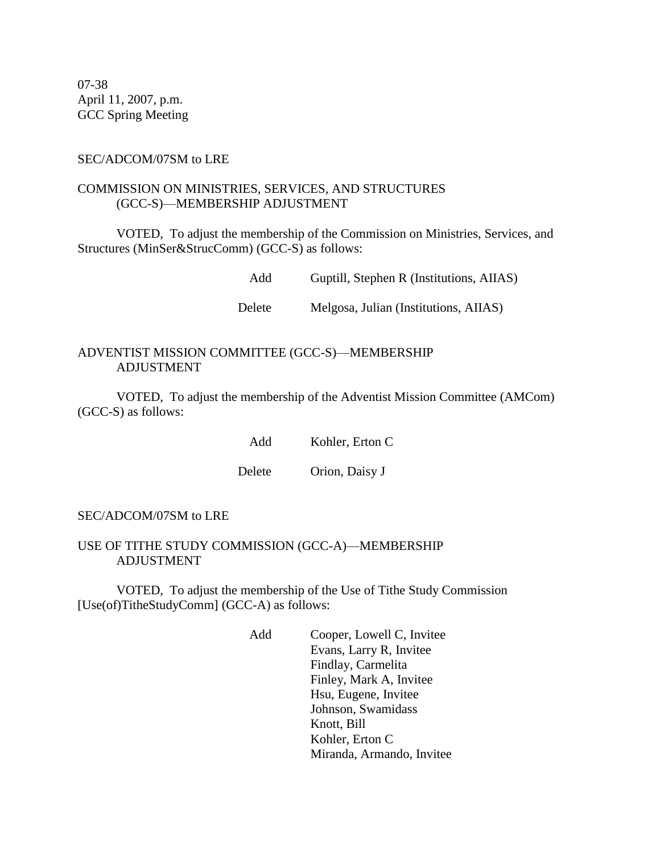07-38 April 11, 2007, p.m. GCC Spring Meeting

#### SEC/ADCOM/07SM to LRE

# COMMISSION ON MINISTRIES, SERVICES, AND STRUCTURES (GCC-S)—MEMBERSHIP ADJUSTMENT

VOTED, To adjust the membership of the Commission on Ministries, Services, and Structures (MinSer&StrucComm) (GCC-S) as follows:

Add Guptill, Stephen R (Institutions, AIIAS)

Delete Melgosa, Julian (Institutions, AIIAS)

#### ADVENTIST MISSION COMMITTEE (GCC-S)—MEMBERSHIP ADJUSTMENT

VOTED, To adjust the membership of the Adventist Mission Committee (AMCom) (GCC-S) as follows:

Add Kohler, Erton C

Delete Orion, Daisy J

#### SEC/ADCOM/07SM to LRE

#### USE OF TITHE STUDY COMMISSION (GCC-A)—MEMBERSHIP ADJUSTMENT

VOTED, To adjust the membership of the Use of Tithe Study Commission [Use(of)TitheStudyComm] (GCC-A) as follows:

> Add Cooper, Lowell C, Invitee Evans, Larry R, Invitee Findlay, Carmelita Finley, Mark A, Invitee Hsu, Eugene, Invitee Johnson, Swamidass Knott, Bill Kohler, Erton C Miranda, Armando, Invitee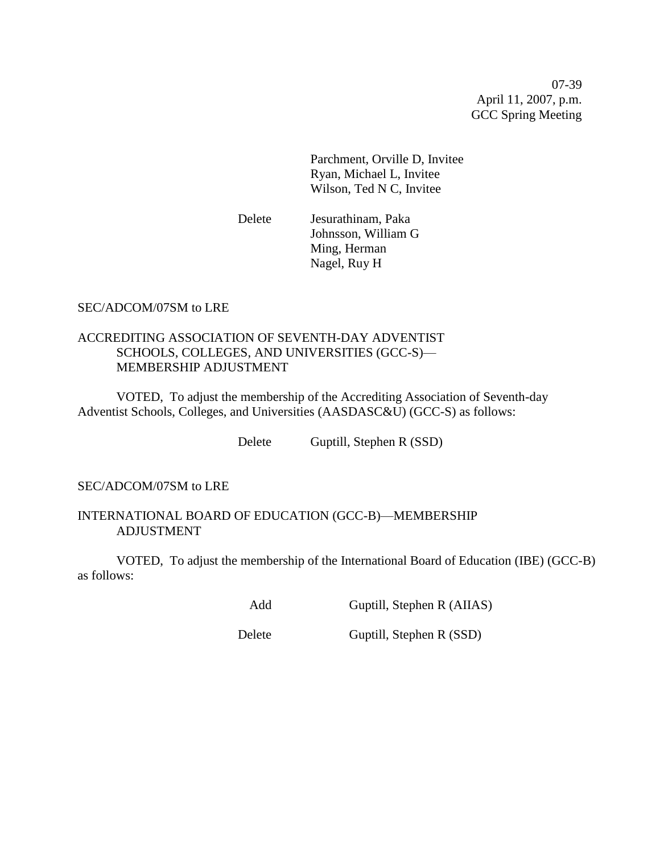07-39 April 11, 2007, p.m. GCC Spring Meeting

Parchment, Orville D, Invitee Ryan, Michael L, Invitee Wilson, Ted N C, Invitee

Delete Jesurathinam, Paka Johnsson, William G Ming, Herman Nagel, Ruy H

# SEC/ADCOM/07SM to LRE

# ACCREDITING ASSOCIATION OF SEVENTH-DAY ADVENTIST SCHOOLS, COLLEGES, AND UNIVERSITIES (GCC-S)— MEMBERSHIP ADJUSTMENT

VOTED, To adjust the membership of the Accrediting Association of Seventh-day Adventist Schools, Colleges, and Universities (AASDASC&U) (GCC-S) as follows:

Delete Guptill, Stephen R (SSD)

# SEC/ADCOM/07SM to LRE

## INTERNATIONAL BOARD OF EDUCATION (GCC-B)—MEMBERSHIP ADJUSTMENT

VOTED, To adjust the membership of the International Board of Education (IBE) (GCC-B) as follows:

Add Guptill, Stephen R (AIIAS)

Delete Guptill, Stephen R (SSD)